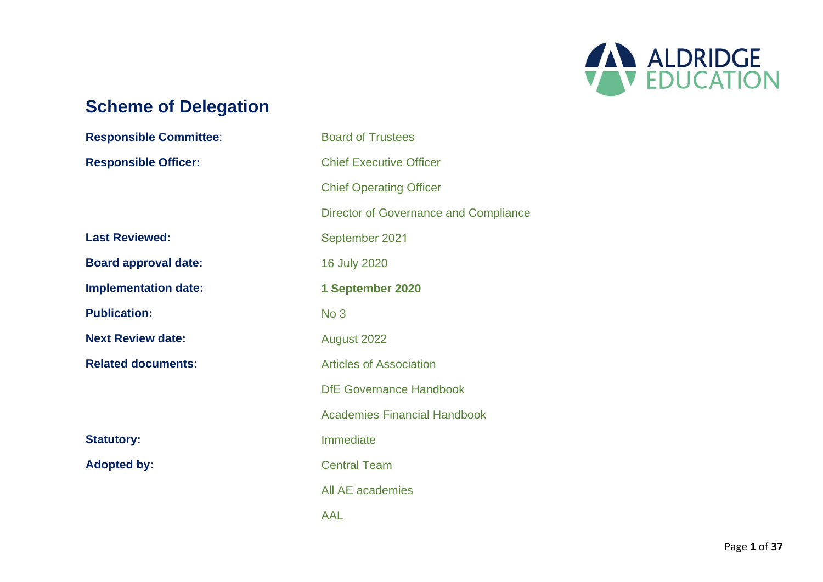

# **Scheme of Delegation**

| <b>Responsible Committee:</b> | <b>Board of Trustees</b>              |
|-------------------------------|---------------------------------------|
| <b>Responsible Officer:</b>   | <b>Chief Executive Officer</b>        |
|                               | <b>Chief Operating Officer</b>        |
|                               | Director of Governance and Compliance |
| <b>Last Reviewed:</b>         | September 2021                        |
| <b>Board approval date:</b>   | 16 July 2020                          |
| <b>Implementation date:</b>   | 1 September 2020                      |
| <b>Publication:</b>           | No <sub>3</sub>                       |
| <b>Next Review date:</b>      | August 2022                           |
| <b>Related documents:</b>     | <b>Articles of Association</b>        |
|                               | <b>DfE Governance Handbook</b>        |
|                               | <b>Academies Financial Handbook</b>   |
| <b>Statutory:</b>             | Immediate                             |
| <b>Adopted by:</b>            | <b>Central Team</b>                   |
|                               | All AE academies                      |
|                               | <b>AAL</b>                            |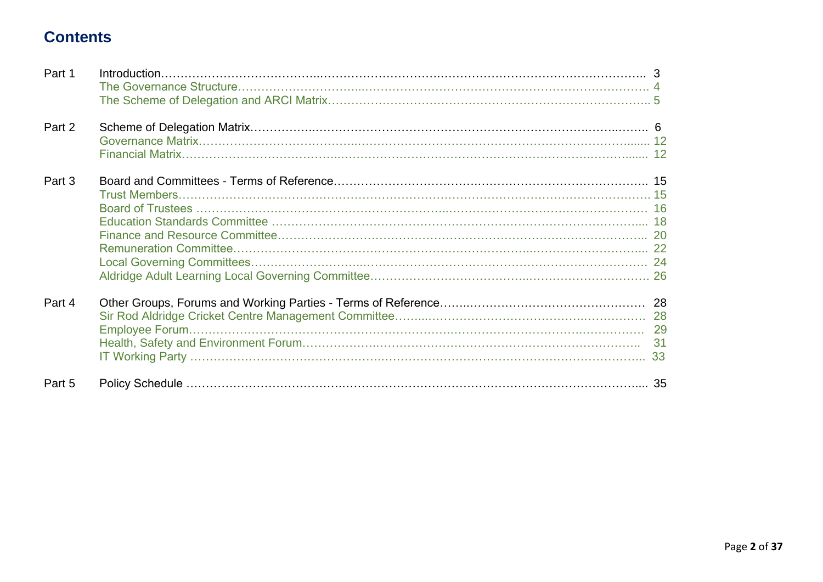# **Contents**

| Part 1 | Introduction. 3 |  |
|--------|-----------------|--|
| Part 2 |                 |  |
| Part 3 |                 |  |
| Part 4 |                 |  |
| Part 5 |                 |  |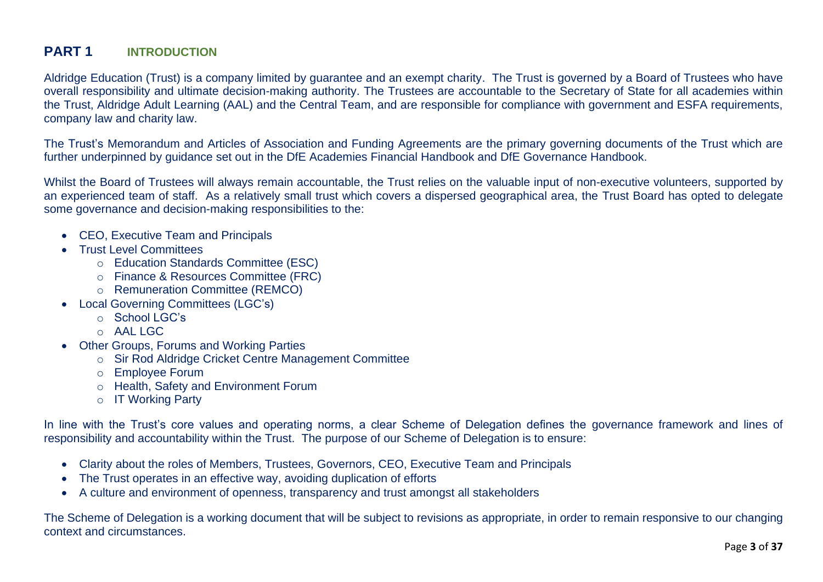### **PART 1 INTRODUCTION**

Aldridge Education (Trust) is a company limited by guarantee and an exempt charity. The Trust is governed by a Board of Trustees who have overall responsibility and ultimate decision-making authority. The Trustees are accountable to the Secretary of State for all academies within the Trust, Aldridge Adult Learning (AAL) and the Central Team, and are responsible for compliance with government and ESFA requirements, company law and charity law.

The Trust's Memorandum and Articles of Association and Funding Agreements are the primary governing documents of the Trust which are further underpinned by guidance set out in the DfE Academies Financial Handbook and DfE Governance Handbook.

Whilst the Board of Trustees will always remain accountable, the Trust relies on the valuable input of non-executive volunteers, supported by an experienced team of staff. As a relatively small trust which covers a dispersed geographical area, the Trust Board has opted to delegate some governance and decision-making responsibilities to the:

- CEO, Executive Team and Principals
- Trust Level Committees
	- o Education Standards Committee (ESC)
	- o Finance & Resources Committee (FRC)
	- o Remuneration Committee (REMCO)
- Local Governing Committees (LGC's)
	- $\circ$  School LGC's
	- $O$  AAL LGC
- Other Groups, Forums and Working Parties
	- o Sir Rod Aldridge Cricket Centre Management Committee
	- o Employee Forum
	- o Health, Safety and Environment Forum
	- o IT Working Party

In line with the Trust's core values and operating norms, a clear Scheme of Delegation defines the governance framework and lines of responsibility and accountability within the Trust. The purpose of our Scheme of Delegation is to ensure:

- Clarity about the roles of Members, Trustees, Governors, CEO, Executive Team and Principals
- The Trust operates in an effective way, avoiding duplication of efforts
- A culture and environment of openness, transparency and trust amongst all stakeholders

The Scheme of Delegation is a working document that will be subject to revisions as appropriate, in order to remain responsive to our changing context and circumstances.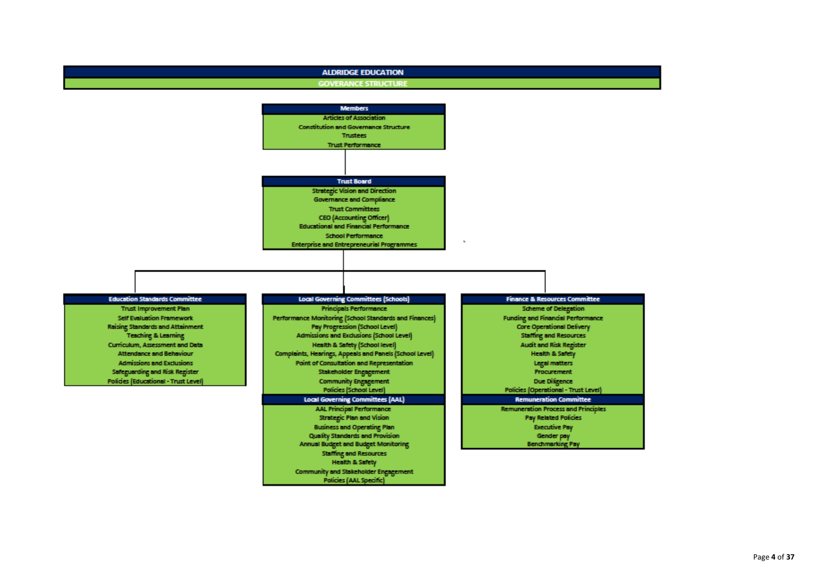### **ALDRIDGE EDUCATION**

### **GOVERANCE STRUCTURE**





Page **4** of **37**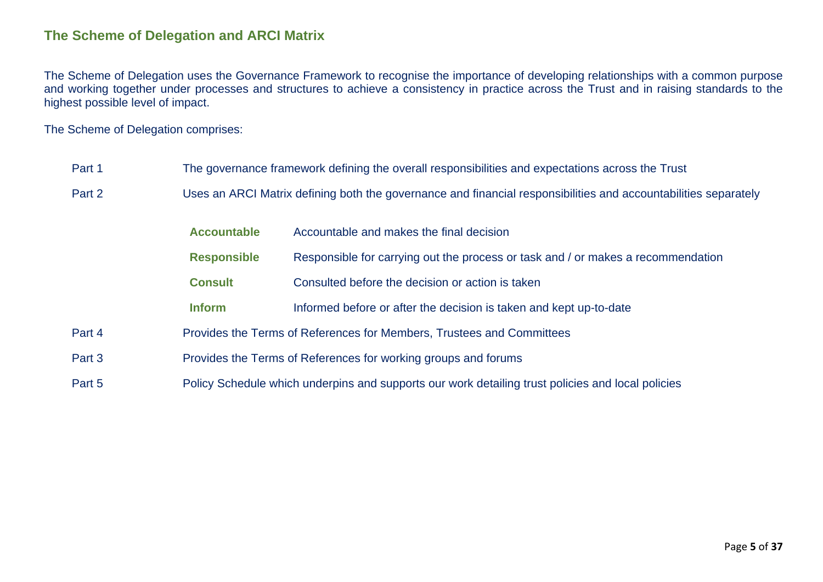### **The Scheme of Delegation and ARCI Matrix**

The Scheme of Delegation uses the Governance Framework to recognise the importance of developing relationships with a common purpose and working together under processes and structures to achieve a consistency in practice across the Trust and in raising standards to the highest possible level of impact.

The Scheme of Delegation comprises:

| Part 1 |                    | The governance framework defining the overall responsibilities and expectations across the Trust                |
|--------|--------------------|-----------------------------------------------------------------------------------------------------------------|
| Part 2 |                    | Uses an ARCI Matrix defining both the governance and financial responsibilities and accountabilities separately |
|        | <b>Accountable</b> | Accountable and makes the final decision                                                                        |
|        | <b>Responsible</b> | Responsible for carrying out the process or task and / or makes a recommendation                                |
|        | <b>Consult</b>     | Consulted before the decision or action is taken                                                                |
|        | <b>Inform</b>      | Informed before or after the decision is taken and kept up-to-date                                              |
| Part 4 |                    | Provides the Terms of References for Members, Trustees and Committees                                           |
| Part 3 |                    | Provides the Terms of References for working groups and forums                                                  |
| Part 5 |                    | Policy Schedule which underpins and supports our work detailing trust policies and local policies               |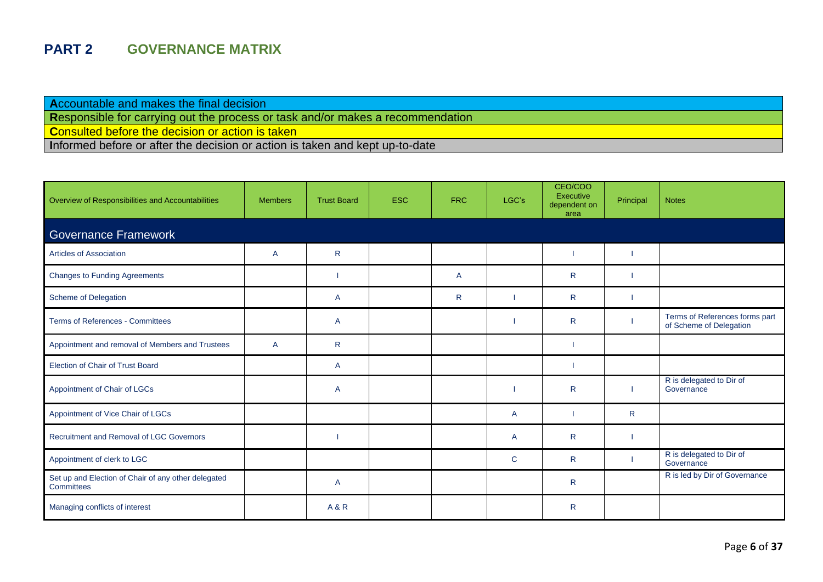## **PART 2 GOVERNANCE MATRIX**

**A**ccountable and makes the final decision

**R**esponsible for carrying out the process or task and/or makes a recommendation

**Consulted before the decision or action is taken** 

**I**nformed before or after the decision or action is taken and kept up-to-date

| Overview of Responsibilities and Accountabilities                 | <b>Members</b> | <b>Trust Board</b> | <b>ESC</b> | <b>FRC</b> | LGC's | CEO/COO<br>Executive<br>dependent on<br>area | Principal    | <b>Notes</b>                                              |
|-------------------------------------------------------------------|----------------|--------------------|------------|------------|-------|----------------------------------------------|--------------|-----------------------------------------------------------|
| <b>Governance Framework</b>                                       |                |                    |            |            |       |                                              |              |                                                           |
| <b>Articles of Association</b>                                    | A              | $\mathsf{R}$       |            |            |       |                                              |              |                                                           |
| <b>Changes to Funding Agreements</b>                              |                |                    |            | A          |       | $\mathsf{R}$                                 |              |                                                           |
| Scheme of Delegation                                              |                | A                  |            | R.         |       | $\mathsf{R}$                                 |              |                                                           |
| <b>Terms of References - Committees</b>                           |                | $\overline{A}$     |            |            |       | R.                                           |              | Terms of References forms part<br>of Scheme of Delegation |
| Appointment and removal of Members and Trustees                   | $\overline{A}$ | $\mathsf{R}$       |            |            |       |                                              |              |                                                           |
| Election of Chair of Trust Board                                  |                | A                  |            |            |       |                                              |              |                                                           |
| Appointment of Chair of LGCs                                      |                | A                  |            |            |       | $\mathsf{R}$                                 |              | R is delegated to Dir of<br>Governance                    |
| Appointment of Vice Chair of LGCs                                 |                |                    |            |            | A     |                                              | $\mathsf{R}$ |                                                           |
| Recruitment and Removal of LGC Governors                          |                |                    |            |            | A     | R                                            |              |                                                           |
| Appointment of clerk to LGC                                       |                |                    |            |            | C     | R.                                           |              | R is delegated to Dir of<br>Governance                    |
| Set up and Election of Chair of any other delegated<br>Committees |                | $\overline{A}$     |            |            |       | R.                                           |              | R is led by Dir of Governance                             |
| Managing conflicts of interest                                    |                | <b>A&amp;R</b>     |            |            |       | R                                            |              |                                                           |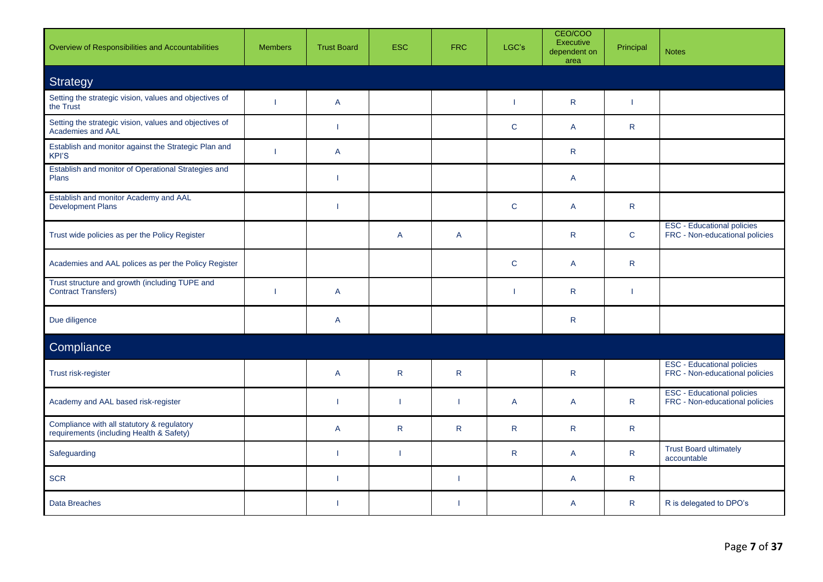| Overview of Responsibilities and Accountabilities                                      | <b>Members</b> | <b>Trust Board</b>       | <b>ESC</b>   | <b>FRC</b>     | LGC's        | CEO/COO<br>Executive<br>dependent on<br>area | Principal    | <b>Notes</b>                                                        |
|----------------------------------------------------------------------------------------|----------------|--------------------------|--------------|----------------|--------------|----------------------------------------------|--------------|---------------------------------------------------------------------|
| Strategy                                                                               |                |                          |              |                |              |                                              |              |                                                                     |
| Setting the strategic vision, values and objectives of<br>the Trust                    |                | $\overline{A}$           |              |                |              | $\mathsf{R}$                                 |              |                                                                     |
| Setting the strategic vision, values and objectives of<br>Academies and AAL            |                | $\blacksquare$           |              |                | $\mathbf C$  | A                                            | $\mathsf{R}$ |                                                                     |
| Establish and monitor against the Strategic Plan and<br><b>KPI'S</b>                   | -1             | A                        |              |                |              | $\mathsf{R}$                                 |              |                                                                     |
| Establish and monitor of Operational Strategies and<br>Plans                           |                | -1                       |              |                |              | $\mathsf{A}$                                 |              |                                                                     |
| Establish and monitor Academy and AAL<br><b>Development Plans</b>                      |                | $\overline{\phantom{a}}$ |              |                | $\mathbf C$  | A                                            | $\mathsf{R}$ |                                                                     |
| Trust wide policies as per the Policy Register                                         |                |                          | $\mathsf{A}$ | $\overline{A}$ |              | $\mathsf{R}$                                 | $\mathbf{C}$ | <b>ESC</b> - Educational policies<br>FRC - Non-educational policies |
| Academies and AAL polices as per the Policy Register                                   |                |                          |              |                | $\mathsf C$  | A                                            | $\mathsf{R}$ |                                                                     |
| Trust structure and growth (including TUPE and<br><b>Contract Transfers)</b>           | -1             | $\overline{A}$           |              |                | ı            | R                                            | -1           |                                                                     |
| Due diligence                                                                          |                | $\overline{A}$           |              |                |              | $\mathsf{R}$                                 |              |                                                                     |
| Compliance                                                                             |                |                          |              |                |              |                                              |              |                                                                     |
| Trust risk-register                                                                    |                | $\overline{A}$           | $\mathsf{R}$ | $\mathsf{R}$   |              | $\mathsf{R}$                                 |              | <b>ESC - Educational policies</b><br>FRC - Non-educational policies |
| Academy and AAL based risk-register                                                    |                | $\mathbf{I}$             |              |                | $\mathsf{A}$ | A                                            | $\mathsf{R}$ | <b>ESC - Educational policies</b><br>FRC - Non-educational policies |
| Compliance with all statutory & regulatory<br>requirements (including Health & Safety) |                | $\overline{A}$           | R            | R              | $\mathsf{R}$ | R                                            | $\mathsf{R}$ |                                                                     |
| Safeguarding                                                                           |                | $\mathbf{I}$             |              |                | $\mathsf{R}$ | $\mathsf{A}$                                 | $\mathsf{R}$ | <b>Trust Board ultimately</b><br>accountable                        |
| <b>SCR</b>                                                                             |                | $\mathbf{I}$             |              |                |              | A                                            | ${\sf R}$    |                                                                     |
| Data Breaches                                                                          |                | $\blacksquare$           |              |                |              | A                                            | $\mathsf{R}$ | R is delegated to DPO's                                             |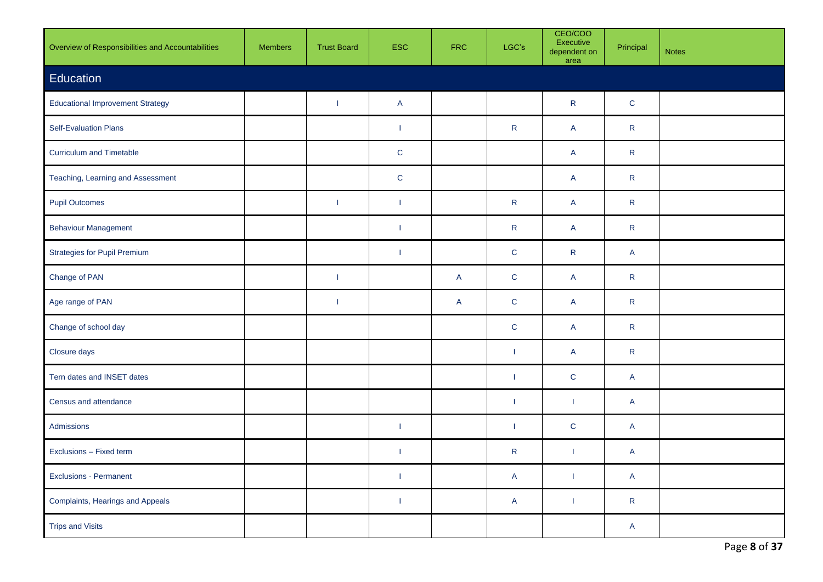| Overview of Responsibilities and Accountabilities | <b>Members</b> | <b>Trust Board</b> | <b>ESC</b>               | <b>FRC</b> | LGC's                   | CEO/COO<br>Executive<br>dependent on<br>area | Principal               | <b>Notes</b> |
|---------------------------------------------------|----------------|--------------------|--------------------------|------------|-------------------------|----------------------------------------------|-------------------------|--------------|
| Education                                         |                |                    |                          |            |                         |                                              |                         |              |
| <b>Educational Improvement Strategy</b>           |                | $\mathbf{I}$       | $\mathsf{A}$             |            |                         | ${\sf R}$                                    | $\mathbf C$             |              |
| Self-Evaluation Plans                             |                |                    | $\mathbf{I}$             |            | ${\sf R}$               | $\mathsf{A}$                                 | $\mathsf{R}$            |              |
| <b>Curriculum and Timetable</b>                   |                |                    | $\mathbf C$              |            |                         | $\mathsf{A}$                                 | $\mathsf R$             |              |
| Teaching, Learning and Assessment                 |                |                    | ${\bf C}$                |            |                         | $\mathsf{A}$                                 | $\mathsf{R}$            |              |
| <b>Pupil Outcomes</b>                             |                | -1                 | $\overline{\phantom{a}}$ |            | ${\sf R}$               | $\overline{A}$                               | $\mathsf{R}$            |              |
| <b>Behaviour Management</b>                       |                |                    | $\mathbf{I}$             |            | ${\sf R}$               | $\mathsf{A}$                                 | $\mathsf{R}$            |              |
| <b>Strategies for Pupil Premium</b>               |                |                    | $\overline{\phantom{a}}$ |            | $\mathbf C$             | ${\sf R}$                                    | A                       |              |
| Change of PAN                                     |                | $\mathbf{I}$       |                          | A          | $\mathbf C$             | $\mathsf{A}$                                 | $\mathsf{R}$            |              |
| Age range of PAN                                  |                | $\mathbf{I}$       |                          | A          | $\mathbf C$             | $\mathsf{A}$                                 | $\mathsf R$             |              |
| Change of school day                              |                |                    |                          |            | $\mathbf C$             | $\overline{A}$                               | $\mathsf{R}$            |              |
| Closure days                                      |                |                    |                          |            | -1                      | $\mathsf{A}$                                 | $\mathsf{R}$            |              |
| Tern dates and INSET dates                        |                |                    |                          |            | $\mathbf{I}$            | $\mathbf C$                                  | A                       |              |
| Census and attendance                             |                |                    |                          |            | $\mathbf{I}$            | $\mathbf{I}$                                 | $\mathsf{A}$            |              |
| Admissions                                        |                |                    | $\overline{\phantom{a}}$ |            | <sup>1</sup>            | $\mathbf C$                                  | A                       |              |
| Exclusions - Fixed term                           |                |                    | $\overline{\phantom{a}}$ |            | ${\sf R}$               | T                                            | A                       |              |
| <b>Exclusions - Permanent</b>                     |                |                    | $\overline{\phantom{a}}$ |            | $\overline{\mathsf{A}}$ | 1                                            | $\overline{\mathsf{A}}$ |              |
| Complaints, Hearings and Appeals                  |                |                    | $\mathbf{I}$             |            | $\overline{\mathsf{A}}$ | $\overline{1}$                               | $\mathsf{R}$            |              |
| <b>Trips and Visits</b>                           |                |                    |                          |            |                         |                                              | A                       |              |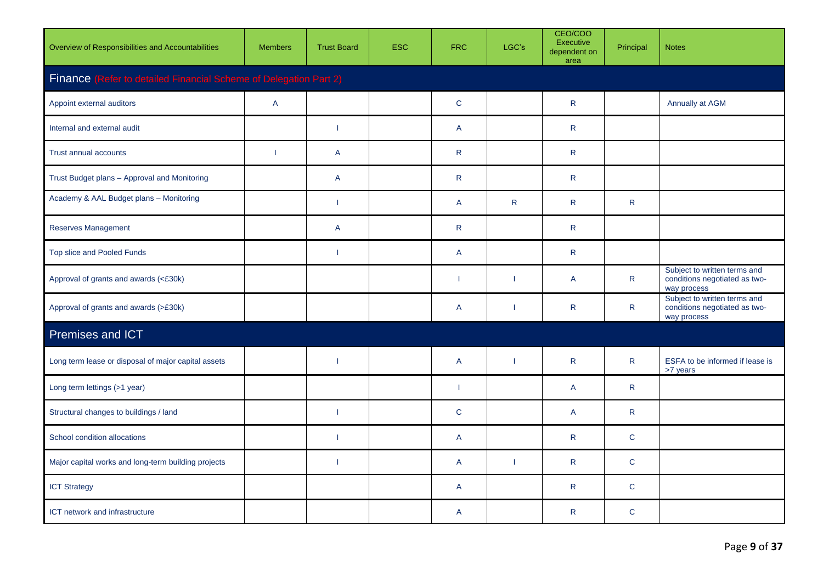| Overview of Responsibilities and Accountabilities                 | <b>Members</b> | <b>Trust Board</b>       | <b>ESC</b> | <b>FRC</b>   | LGC's                    | CEO/COO<br>Executive<br>dependent on<br>area | Principal    | <b>Notes</b>                                                                 |
|-------------------------------------------------------------------|----------------|--------------------------|------------|--------------|--------------------------|----------------------------------------------|--------------|------------------------------------------------------------------------------|
| Finance (Refer to detailed Financial Scheme of Delegation Part 2) |                |                          |            |              |                          |                                              |              |                                                                              |
| Appoint external auditors                                         | $\mathsf{A}$   |                          |            | $\mathbf C$  |                          | $\mathsf{R}$                                 |              | Annually at AGM                                                              |
| Internal and external audit                                       |                | - 1                      |            | $\mathsf{A}$ |                          | $\mathsf{R}$                                 |              |                                                                              |
| Trust annual accounts                                             | ı              | A                        |            | $\mathsf{R}$ |                          | $\mathsf{R}$                                 |              |                                                                              |
| Trust Budget plans - Approval and Monitoring                      |                | A                        |            | $\mathsf{R}$ |                          | $\mathsf{R}$                                 |              |                                                                              |
| Academy & AAL Budget plans - Monitoring                           |                | $\overline{\phantom{a}}$ |            | $\mathsf{A}$ | $\mathsf{R}$             | $\mathsf{R}$                                 | $\mathsf{R}$ |                                                                              |
| <b>Reserves Management</b>                                        |                | A                        |            | $\mathsf{R}$ |                          | $\mathsf{R}$                                 |              |                                                                              |
| Top slice and Pooled Funds                                        |                | -1                       |            | $\mathsf{A}$ |                          | $\mathsf{R}$                                 |              |                                                                              |
| Approval of grants and awards (<£30k)                             |                |                          |            | T            | $\overline{\phantom{a}}$ | A                                            | $\mathsf{R}$ | Subject to written terms and<br>conditions negotiated as two-<br>way process |
| Approval of grants and awards (>£30k)                             |                |                          |            | $\mathsf{A}$ | $\overline{\phantom{a}}$ | $\mathsf{R}$                                 | $\mathsf{R}$ | Subject to written terms and<br>conditions negotiated as two-<br>way process |
| Premises and ICT                                                  |                |                          |            |              |                          |                                              |              |                                                                              |
| Long term lease or disposal of major capital assets               |                | $\mathbf{I}$             |            | $\mathsf{A}$ | $\overline{\phantom{a}}$ | $\mathsf{R}$                                 | $\mathsf{R}$ | ESFA to be informed if lease is<br>>7 years                                  |
| Long term lettings (>1 year)                                      |                |                          |            | 1            |                          | A                                            | R.           |                                                                              |
| Structural changes to buildings / land                            |                | -1                       |            | $\mathsf{C}$ |                          | A                                            | R            |                                                                              |
| School condition allocations                                      |                | $\overline{\phantom{a}}$ |            | $\mathsf{A}$ |                          | $\mathsf{R}$                                 | $\mathbf{C}$ |                                                                              |
| Major capital works and long-term building projects               |                | - 1                      |            | $\mathsf{A}$ | $\overline{\phantom{a}}$ | $\mathsf{R}$                                 | $\mathbf C$  |                                                                              |
| <b>ICT Strategy</b>                                               |                |                          |            | $\mathsf{A}$ |                          | ${\sf R}$                                    | $\mathbf C$  |                                                                              |
| ICT network and infrastructure                                    |                |                          |            | $\mathsf{A}$ |                          | $\mathsf{R}$                                 | $\mathbf C$  |                                                                              |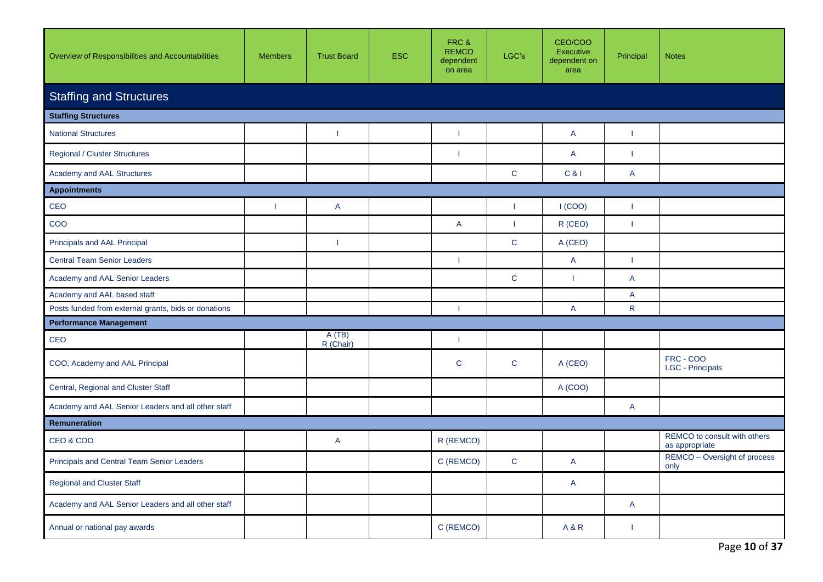| Overview of Responsibilities and Accountabilities    | <b>Members</b> | <b>Trust Board</b>       | <b>ESC</b> | FRC&<br><b>REMCO</b><br>dependent<br>on area | LGC's                    | CEO/COO<br>Executive<br>dependent on<br>area | Principal                | <b>Notes</b>                                   |  |  |  |  |  |
|------------------------------------------------------|----------------|--------------------------|------------|----------------------------------------------|--------------------------|----------------------------------------------|--------------------------|------------------------------------------------|--|--|--|--|--|
| <b>Staffing and Structures</b>                       |                |                          |            |                                              |                          |                                              |                          |                                                |  |  |  |  |  |
| <b>Staffing Structures</b>                           |                |                          |            |                                              |                          |                                              |                          |                                                |  |  |  |  |  |
| <b>National Structures</b>                           |                | -1                       |            |                                              |                          | A                                            |                          |                                                |  |  |  |  |  |
| <b>Regional / Cluster Structures</b>                 |                |                          |            |                                              |                          | A                                            | -1                       |                                                |  |  |  |  |  |
| Academy and AAL Structures                           |                |                          |            |                                              | $\mathbf C$              | C &                                          | A                        |                                                |  |  |  |  |  |
| <b>Appointments</b>                                  |                |                          |            |                                              |                          |                                              |                          |                                                |  |  |  |  |  |
| CEO                                                  |                | A                        |            |                                              | $\overline{\phantom{a}}$ | I(COO)                                       |                          |                                                |  |  |  |  |  |
| $\rm{COO}$                                           |                |                          |            | $\mathsf{A}$                                 | $\overline{\phantom{a}}$ | R (CEO)                                      | $\overline{\phantom{a}}$ |                                                |  |  |  |  |  |
| Principals and AAL Principal                         |                | $\overline{\phantom{a}}$ |            |                                              | $\mathbf C$              | A (CEO)                                      |                          |                                                |  |  |  |  |  |
| <b>Central Team Senior Leaders</b>                   |                |                          |            | 1                                            |                          | A                                            | $\mathbf{I}$             |                                                |  |  |  |  |  |
| Academy and AAL Senior Leaders                       |                |                          |            |                                              | $\mathbf C$              | 1                                            | A                        |                                                |  |  |  |  |  |
| Academy and AAL based staff                          |                |                          |            |                                              |                          |                                              | A                        |                                                |  |  |  |  |  |
| Posts funded from external grants, bids or donations |                |                          |            |                                              |                          | A                                            | $\mathsf{R}$             |                                                |  |  |  |  |  |
| <b>Performance Management</b>                        |                |                          |            |                                              |                          |                                              |                          |                                                |  |  |  |  |  |
| CEO                                                  |                | A(TB)<br>R (Chair)       |            |                                              |                          |                                              |                          |                                                |  |  |  |  |  |
| COO, Academy and AAL Principal                       |                |                          |            | $\mathbf C$                                  | $\mathsf{C}$             | A (CEO)                                      |                          | FRC - COO<br>LGC - Principals                  |  |  |  |  |  |
| Central, Regional and Cluster Staff                  |                |                          |            |                                              |                          | A (COO)                                      |                          |                                                |  |  |  |  |  |
| Academy and AAL Senior Leaders and all other staff   |                |                          |            |                                              |                          |                                              | A                        |                                                |  |  |  |  |  |
| Remuneration                                         |                |                          |            |                                              |                          |                                              |                          |                                                |  |  |  |  |  |
| <b>CEO &amp; COO</b>                                 |                | A                        |            | R (REMCO)                                    |                          |                                              |                          | REMCO to consult with others<br>as appropriate |  |  |  |  |  |
| <b>Principals and Central Team Senior Leaders</b>    |                |                          |            | C (REMCO)                                    | $\mathsf C$              | A                                            |                          | REMCO - Oversight of process<br>only           |  |  |  |  |  |
| <b>Regional and Cluster Staff</b>                    |                |                          |            |                                              |                          | $\mathsf{A}$                                 |                          |                                                |  |  |  |  |  |
| Academy and AAL Senior Leaders and all other staff   |                |                          |            |                                              |                          |                                              | $\mathsf{A}$             |                                                |  |  |  |  |  |
| Annual or national pay awards                        |                |                          |            | C (REMCO)                                    |                          | <b>A&amp;R</b>                               |                          |                                                |  |  |  |  |  |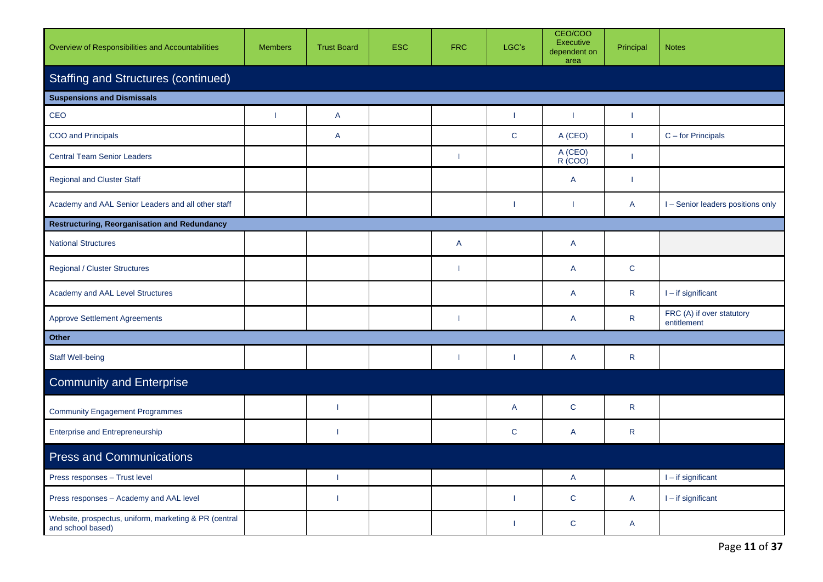| Overview of Responsibilities and Accountabilities                          | <b>Members</b> | <b>Trust Board</b>       | <b>ESC</b> | <b>FRC</b>     | LGC's                    | CEO/COO<br><b>Executive</b><br>dependent on<br>area | Principal                | <b>Notes</b>                             |
|----------------------------------------------------------------------------|----------------|--------------------------|------------|----------------|--------------------------|-----------------------------------------------------|--------------------------|------------------------------------------|
| <b>Staffing and Structures (continued)</b>                                 |                |                          |            |                |                          |                                                     |                          |                                          |
| <b>Suspensions and Dismissals</b>                                          |                |                          |            |                |                          |                                                     |                          |                                          |
| CEO                                                                        | ı              | A                        |            |                | $\overline{\phantom{a}}$ | T                                                   | $\overline{\phantom{a}}$ |                                          |
| COO and Principals                                                         |                | $\mathsf{A}$             |            |                | $\mathbf C$              | A (CEO)                                             | $\mathbf{I}$             | C - for Principals                       |
| <b>Central Team Senior Leaders</b>                                         |                |                          |            | 1              |                          | A (CEO)<br>R (COO)                                  | $\mathbf{I}$             |                                          |
| <b>Regional and Cluster Staff</b>                                          |                |                          |            |                |                          | A                                                   | -1                       |                                          |
| Academy and AAL Senior Leaders and all other staff                         |                |                          |            |                | $\mathbf{I}$             | T                                                   | $\mathsf{A}$             | I - Senior leaders positions only        |
| <b>Restructuring, Reorganisation and Redundancy</b>                        |                |                          |            |                |                          |                                                     |                          |                                          |
| <b>National Structures</b>                                                 |                |                          |            | $\overline{A}$ |                          | $\mathsf{A}$                                        |                          |                                          |
| <b>Regional / Cluster Structures</b>                                       |                |                          |            |                |                          | A                                                   | $\mathbf C$              |                                          |
| Academy and AAL Level Structures                                           |                |                          |            |                |                          | A                                                   | $\mathsf{R}$             | $I - if significant$                     |
| <b>Approve Settlement Agreements</b>                                       |                |                          |            |                |                          | $\overline{A}$                                      | $\mathsf{R}$             | FRC (A) if over statutory<br>entitlement |
| <b>Other</b>                                                               |                |                          |            |                |                          |                                                     |                          |                                          |
| <b>Staff Well-being</b>                                                    |                |                          |            |                | $\overline{\phantom{a}}$ | $\mathsf{A}$                                        | $\mathsf{R}$             |                                          |
| <b>Community and Enterprise</b>                                            |                |                          |            |                |                          |                                                     |                          |                                          |
| <b>Community Engagement Programmes</b>                                     |                | $\overline{\phantom{a}}$ |            |                | A                        | $\mathbf C$                                         | $\mathsf{R}$             |                                          |
| <b>Enterprise and Entrepreneurship</b>                                     |                | - 1                      |            |                | $\mathbf C$              | A                                                   | $\mathsf{R}$             |                                          |
| <b>Press and Communications</b>                                            |                |                          |            |                |                          |                                                     |                          |                                          |
| Press responses - Trust level                                              |                | $\overline{\phantom{a}}$ |            |                |                          | A                                                   |                          | $I - if significant$                     |
| Press responses - Academy and AAL level                                    |                | ı                        |            |                | H                        | $\mathbf C$                                         | $\overline{A}$           | $I - if$ significant                     |
| Website, prospectus, uniform, marketing & PR (central<br>and school based) |                |                          |            |                | $\overline{\phantom{a}}$ | $\mathsf{C}$                                        | A                        |                                          |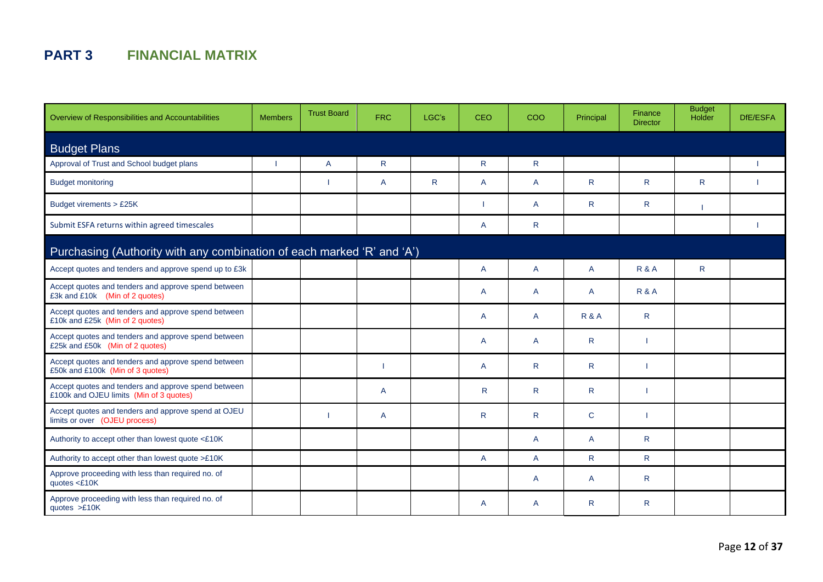## **PART 3 FINANCIAL MATRIX**

| Overview of Responsibilities and Accountabilities                                              | <b>Members</b> | <b>Trust Board</b> | <b>FRC</b>   | LGC's | <b>CEO</b>     | COO          | Principal    | Finance<br><b>Director</b> | <b>Budget</b><br>Holder | DfE/ESFA |
|------------------------------------------------------------------------------------------------|----------------|--------------------|--------------|-------|----------------|--------------|--------------|----------------------------|-------------------------|----------|
| <b>Budget Plans</b>                                                                            |                |                    |              |       |                |              |              |                            |                         |          |
| Approval of Trust and School budget plans                                                      |                | A                  | $\mathsf{R}$ |       | $\mathsf{R}$   | $\mathsf{R}$ |              |                            |                         |          |
| <b>Budget monitoring</b>                                                                       |                |                    | A            | R     | A              | A            | R.           | R.                         | R.                      |          |
| Budget virements > £25K                                                                        |                |                    |              |       |                | A            | $\mathsf{R}$ | R                          |                         |          |
| Submit ESFA returns within agreed timescales                                                   |                |                    |              |       | $\mathsf{A}$   | R            |              |                            |                         |          |
| Purchasing (Authority with any combination of each marked 'R' and 'A')                         |                |                    |              |       |                |              |              |                            |                         |          |
| Accept quotes and tenders and approve spend up to £3k                                          |                |                    |              |       | $\overline{A}$ | A            | A            | <b>R&amp;A</b>             | $\mathsf{R}$            |          |
| Accept quotes and tenders and approve spend between<br>£3k and £10k (Min of 2 quotes)          |                |                    |              |       | $\overline{A}$ | A            | A            | <b>R&amp;A</b>             |                         |          |
| Accept quotes and tenders and approve spend between<br>£10k and £25k (Min of 2 quotes)         |                |                    |              |       | $\mathsf{A}$   | A            | R&A          | $\mathsf{R}$               |                         |          |
| Accept quotes and tenders and approve spend between<br>£25k and £50k (Min of 2 quotes)         |                |                    |              |       | $\mathsf{A}$   | A            | R.           |                            |                         |          |
| Accept quotes and tenders and approve spend between<br>£50k and £100k (Min of 3 quotes)        |                |                    |              |       | $\mathsf{A}$   | $\mathsf{R}$ | $\mathsf{R}$ |                            |                         |          |
| Accept quotes and tenders and approve spend between<br>£100k and OJEU limits (Min of 3 quotes) |                |                    | A            |       | $\mathsf{R}$   | $\mathsf{R}$ | $\mathsf{R}$ |                            |                         |          |
| Accept quotes and tenders and approve spend at OJEU<br>limits or over (OJEU process)           |                |                    | A            |       | $\mathsf{R}$   | $\mathsf{R}$ | $\mathsf{C}$ |                            |                         |          |
| Authority to accept other than lowest quote <£10K                                              |                |                    |              |       |                | A            | A            | R.                         |                         |          |
| Authority to accept other than lowest quote >£10K                                              |                |                    |              |       | A              | A            | $\mathsf{R}$ | $\mathsf{R}$               |                         |          |
| Approve proceeding with less than required no. of<br>quotes $<£10K$                            |                |                    |              |       |                | A            | A            | R                          |                         |          |
| Approve proceeding with less than required no. of<br>quotes $>£10K$                            |                |                    |              |       | A              | A            | R            | R.                         |                         |          |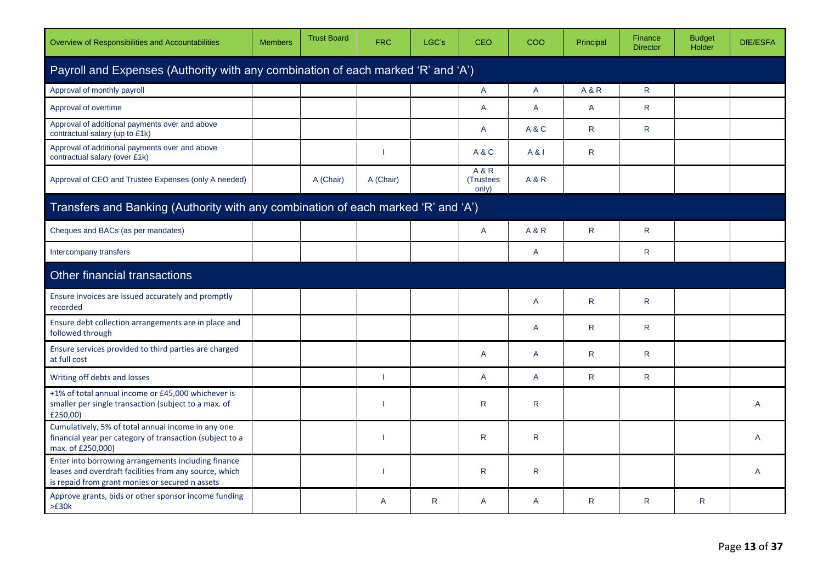| Overview of Responsibilities and Accountabilities                                                                                                                | <b>Members</b> | <b>Trust Board</b> | <b>FRC</b>   | LGC's | <b>CEO</b>                  | COO            | Principal      | Finance<br><b>Director</b> | <b>Budget</b><br>Holder | DfE/ESFA |  |  |  |
|------------------------------------------------------------------------------------------------------------------------------------------------------------------|----------------|--------------------|--------------|-------|-----------------------------|----------------|----------------|----------------------------|-------------------------|----------|--|--|--|
| Payroll and Expenses (Authority with any combination of each marked 'R' and 'A')                                                                                 |                |                    |              |       |                             |                |                |                            |                         |          |  |  |  |
| Approval of monthly payroll                                                                                                                                      |                |                    |              |       | A                           | A              | <b>A&amp;R</b> | $\mathsf{R}$               |                         |          |  |  |  |
| Approval of overtime                                                                                                                                             |                |                    |              |       | A                           | $\overline{A}$ | $\mathsf{A}$   | $\mathsf{R}$               |                         |          |  |  |  |
| Approval of additional payments over and above<br>contractual salary (up to £1k)                                                                                 |                |                    |              |       | A                           | A&C            | $\mathsf{R}$   | $\mathsf{R}$               |                         |          |  |  |  |
| Approval of additional payments over and above<br>contractual salary (over £1k)                                                                                  |                |                    | 1            |       | A&C                         | A & I          | R              |                            |                         |          |  |  |  |
| Approval of CEO and Trustee Expenses (only A needed)                                                                                                             |                | A (Chair)          | A (Chair)    |       | A & R<br>(Trustees<br>only) | <b>A&amp;R</b> |                |                            |                         |          |  |  |  |
| Transfers and Banking (Authority with any combination of each marked 'R' and 'A')                                                                                |                |                    |              |       |                             |                |                |                            |                         |          |  |  |  |
| Cheques and BACs (as per mandates)                                                                                                                               |                |                    |              |       | A                           | <b>A&amp;R</b> | $\mathsf{R}$   | $\mathsf{R}$               |                         |          |  |  |  |
| Intercompany transfers                                                                                                                                           |                |                    |              |       |                             | A              |                | $\mathsf{R}$               |                         |          |  |  |  |
| Other financial transactions                                                                                                                                     |                |                    |              |       |                             |                |                |                            |                         |          |  |  |  |
| Ensure invoices are issued accurately and promptly<br>recorded                                                                                                   |                |                    |              |       |                             | A              | $\mathsf{R}$   | $\mathsf{R}$               |                         |          |  |  |  |
| Ensure debt collection arrangements are in place and<br>followed through                                                                                         |                |                    |              |       |                             | A              | $\mathsf{R}$   | $\mathsf{R}$               |                         |          |  |  |  |
| Ensure services provided to third parties are charged<br>at full cost                                                                                            |                |                    |              |       | A                           | A              | $\mathsf{R}$   | $\mathsf{R}$               |                         |          |  |  |  |
| Writing off debts and losses                                                                                                                                     |                |                    | 1            |       | A                           | A              | $\mathsf{R}$   | $\mathsf{R}$               |                         |          |  |  |  |
| +1% of total annual income or £45,000 whichever is<br>smaller per single transaction (subject to a max. of<br>£250,00)                                           |                |                    |              |       | ${\sf R}$                   | ${\sf R}$      |                |                            |                         | A        |  |  |  |
| Cumulatively, 5% of total annual income in any one<br>financial year per category of transaction (subject to a<br>max. of £250,000)                              |                |                    | ı            |       | $\mathsf{R}$                | $\mathsf{R}$   |                |                            |                         | A        |  |  |  |
| Enter into borrowing arrangements including finance<br>leases and overdraft facilities from any source, which<br>is repaid from grant monies or secured n assets |                |                    | 1            |       | R                           | R              |                |                            |                         | A        |  |  |  |
| Approve grants, bids or other sponsor income funding<br>>E30k                                                                                                    |                |                    | $\mathsf{A}$ | R     | A                           | A              | R.             | $\mathsf{R}$               | R.                      |          |  |  |  |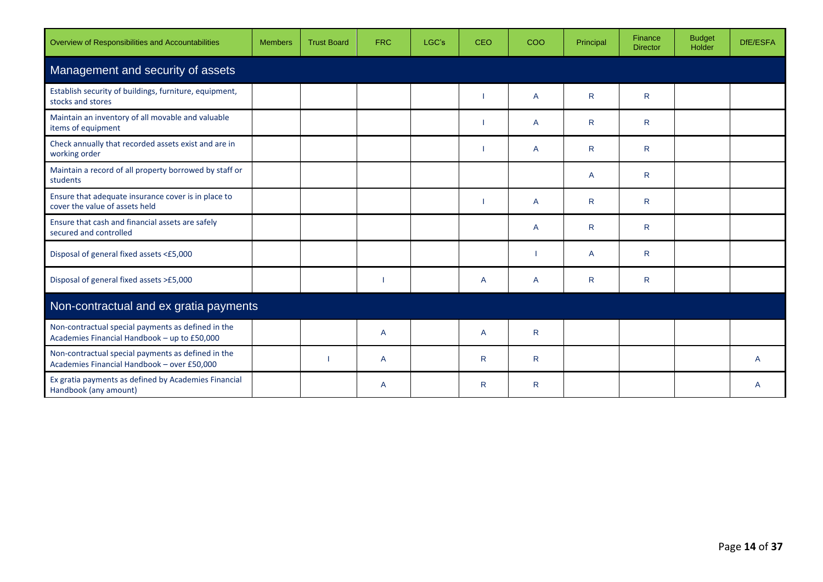| Overview of Responsibilities and Accountabilities                                                  | <b>Members</b> | <b>Trust Board</b> | <b>FRC</b>     | LGC's | <b>CEO</b> | COO          | Principal    | Finance<br><b>Director</b> | <b>Budget</b><br>Holder | DfE/ESFA |  |  |  |
|----------------------------------------------------------------------------------------------------|----------------|--------------------|----------------|-------|------------|--------------|--------------|----------------------------|-------------------------|----------|--|--|--|
| Management and security of assets                                                                  |                |                    |                |       |            |              |              |                            |                         |          |  |  |  |
| Establish security of buildings, furniture, equipment,<br>stocks and stores                        |                |                    |                |       |            | A            | R.           | $\mathsf{R}$               |                         |          |  |  |  |
| Maintain an inventory of all movable and valuable<br>items of equipment                            |                |                    |                |       |            | A            | R.           | $\mathsf{R}$               |                         |          |  |  |  |
| Check annually that recorded assets exist and are in<br>working order                              |                |                    |                |       |            | A            | R            | R.                         |                         |          |  |  |  |
| Maintain a record of all property borrowed by staff or<br>students                                 |                |                    |                |       |            |              | A            | $\mathsf{R}$               |                         |          |  |  |  |
| Ensure that adequate insurance cover is in place to<br>cover the value of assets held              |                |                    |                |       |            | A            | R.           | $\mathsf{R}$               |                         |          |  |  |  |
| Ensure that cash and financial assets are safely<br>secured and controlled                         |                |                    |                |       |            | A            | $\mathsf{R}$ | $\mathsf{R}$               |                         |          |  |  |  |
| Disposal of general fixed assets <£5,000                                                           |                |                    |                |       |            |              | A            | $\mathsf{R}$               |                         |          |  |  |  |
| Disposal of general fixed assets >£5,000                                                           |                |                    |                |       | A          | A            | R            | $\mathsf{R}$               |                         |          |  |  |  |
| Non-contractual and ex gratia payments                                                             |                |                    |                |       |            |              |              |                            |                         |          |  |  |  |
| Non-contractual special payments as defined in the<br>Academies Financial Handbook - up to £50,000 |                |                    | $\overline{A}$ |       | A          | $\mathsf{R}$ |              |                            |                         |          |  |  |  |
| Non-contractual special payments as defined in the<br>Academies Financial Handbook - over £50,000  |                |                    | A              |       | R          | R            |              |                            |                         | A        |  |  |  |
| Ex gratia payments as defined by Academies Financial<br>Handbook (any amount)                      |                |                    | A              |       | R.         | R            |              |                            |                         | A        |  |  |  |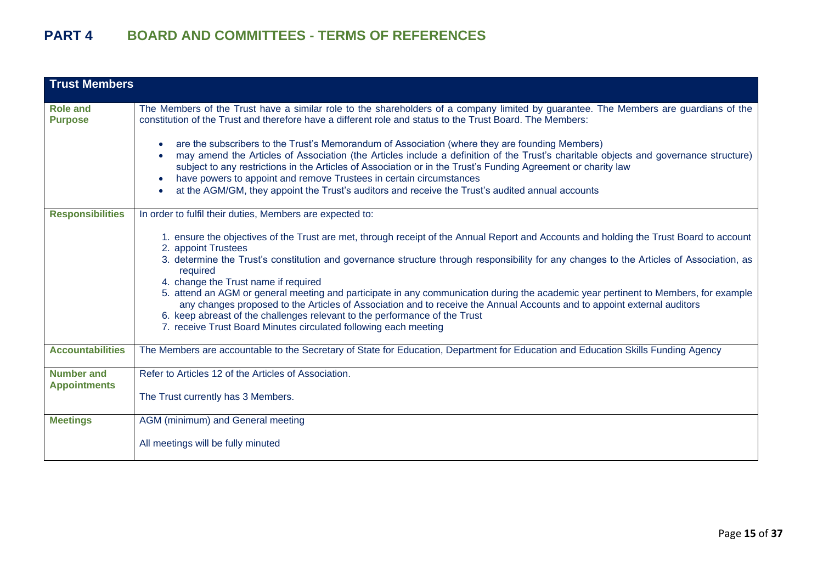| <b>Trust Members</b>                     |                                                                                                                                                                                                                                                                                                                                                                                                                                                                                                                                                                                                                                                                                                                                                                                                                                                 |
|------------------------------------------|-------------------------------------------------------------------------------------------------------------------------------------------------------------------------------------------------------------------------------------------------------------------------------------------------------------------------------------------------------------------------------------------------------------------------------------------------------------------------------------------------------------------------------------------------------------------------------------------------------------------------------------------------------------------------------------------------------------------------------------------------------------------------------------------------------------------------------------------------|
| <b>Role and</b><br><b>Purpose</b>        | The Members of the Trust have a similar role to the shareholders of a company limited by guarantee. The Members are guardians of the<br>constitution of the Trust and therefore have a different role and status to the Trust Board. The Members:<br>are the subscribers to the Trust's Memorandum of Association (where they are founding Members)<br>may amend the Articles of Association (the Articles include a definition of the Trust's charitable objects and governance structure)<br>subject to any restrictions in the Articles of Association or in the Trust's Funding Agreement or charity law<br>have powers to appoint and remove Trustees in certain circumstances<br>at the AGM/GM, they appoint the Trust's auditors and receive the Trust's audited annual accounts                                                         |
| <b>Responsibilities</b>                  | In order to fulfil their duties, Members are expected to:<br>1. ensure the objectives of the Trust are met, through receipt of the Annual Report and Accounts and holding the Trust Board to account<br>2. appoint Trustees<br>3. determine the Trust's constitution and governance structure through responsibility for any changes to the Articles of Association, as<br>required<br>4. change the Trust name if required<br>5. attend an AGM or general meeting and participate in any communication during the academic year pertinent to Members, for example<br>any changes proposed to the Articles of Association and to receive the Annual Accounts and to appoint external auditors<br>6. keep abreast of the challenges relevant to the performance of the Trust<br>7. receive Trust Board Minutes circulated following each meeting |
| <b>Accountabilities</b>                  | The Members are accountable to the Secretary of State for Education, Department for Education and Education Skills Funding Agency                                                                                                                                                                                                                                                                                                                                                                                                                                                                                                                                                                                                                                                                                                               |
| <b>Number and</b><br><b>Appointments</b> | Refer to Articles 12 of the Articles of Association.<br>The Trust currently has 3 Members.                                                                                                                                                                                                                                                                                                                                                                                                                                                                                                                                                                                                                                                                                                                                                      |
| <b>Meetings</b>                          | AGM (minimum) and General meeting<br>All meetings will be fully minuted                                                                                                                                                                                                                                                                                                                                                                                                                                                                                                                                                                                                                                                                                                                                                                         |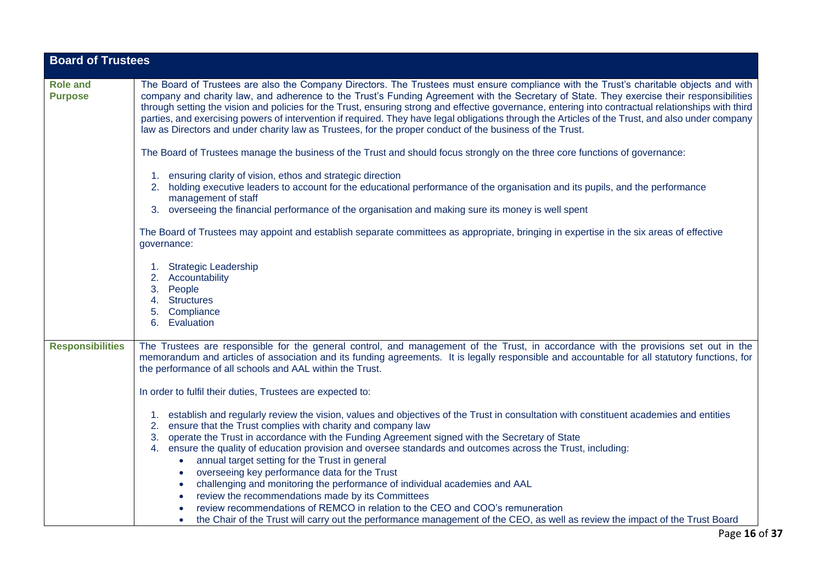| <b>Board of Trustees</b>          |                                                                                                                                                                                                                                                                                                                                                                                                                                                                                                                                                                                                                                                                                                             |
|-----------------------------------|-------------------------------------------------------------------------------------------------------------------------------------------------------------------------------------------------------------------------------------------------------------------------------------------------------------------------------------------------------------------------------------------------------------------------------------------------------------------------------------------------------------------------------------------------------------------------------------------------------------------------------------------------------------------------------------------------------------|
|                                   |                                                                                                                                                                                                                                                                                                                                                                                                                                                                                                                                                                                                                                                                                                             |
| <b>Role and</b><br><b>Purpose</b> | The Board of Trustees are also the Company Directors. The Trustees must ensure compliance with the Trust's charitable objects and with<br>company and charity law, and adherence to the Trust's Funding Agreement with the Secretary of State. They exercise their responsibilities<br>through setting the vision and policies for the Trust, ensuring strong and effective governance, entering into contractual relationships with third<br>parties, and exercising powers of intervention if required. They have legal obligations through the Articles of the Trust, and also under company<br>law as Directors and under charity law as Trustees, for the proper conduct of the business of the Trust. |
|                                   | The Board of Trustees manage the business of the Trust and should focus strongly on the three core functions of governance:                                                                                                                                                                                                                                                                                                                                                                                                                                                                                                                                                                                 |
|                                   | 1. ensuring clarity of vision, ethos and strategic direction<br>2. holding executive leaders to account for the educational performance of the organisation and its pupils, and the performance<br>management of staff                                                                                                                                                                                                                                                                                                                                                                                                                                                                                      |
|                                   | overseeing the financial performance of the organisation and making sure its money is well spent<br>3.                                                                                                                                                                                                                                                                                                                                                                                                                                                                                                                                                                                                      |
|                                   | The Board of Trustees may appoint and establish separate committees as appropriate, bringing in expertise in the six areas of effective<br>governance:                                                                                                                                                                                                                                                                                                                                                                                                                                                                                                                                                      |
|                                   | 1. Strategic Leadership<br>2. Accountability<br>3. People<br>4. Structures<br>5. Compliance                                                                                                                                                                                                                                                                                                                                                                                                                                                                                                                                                                                                                 |
|                                   | 6. Evaluation                                                                                                                                                                                                                                                                                                                                                                                                                                                                                                                                                                                                                                                                                               |
| <b>Responsibilities</b>           | The Trustees are responsible for the general control, and management of the Trust, in accordance with the provisions set out in the<br>memorandum and articles of association and its funding agreements. It is legally responsible and accountable for all statutory functions, for<br>the performance of all schools and AAL within the Trust.                                                                                                                                                                                                                                                                                                                                                            |
|                                   | In order to fulfil their duties, Trustees are expected to:                                                                                                                                                                                                                                                                                                                                                                                                                                                                                                                                                                                                                                                  |
|                                   | 1. establish and regularly review the vision, values and objectives of the Trust in consultation with constituent academies and entities<br>ensure that the Trust complies with charity and company law<br>2.<br>operate the Trust in accordance with the Funding Agreement signed with the Secretary of State<br>3.                                                                                                                                                                                                                                                                                                                                                                                        |
|                                   | 4. ensure the quality of education provision and oversee standards and outcomes across the Trust, including:                                                                                                                                                                                                                                                                                                                                                                                                                                                                                                                                                                                                |
|                                   | annual target setting for the Trust in general<br>$\bullet$                                                                                                                                                                                                                                                                                                                                                                                                                                                                                                                                                                                                                                                 |
|                                   | overseeing key performance data for the Trust<br>$\bullet$                                                                                                                                                                                                                                                                                                                                                                                                                                                                                                                                                                                                                                                  |
|                                   | challenging and monitoring the performance of individual academies and AAL                                                                                                                                                                                                                                                                                                                                                                                                                                                                                                                                                                                                                                  |
|                                   | review the recommendations made by its Committees<br>review recommendations of REMCO in relation to the CEO and COO's remuneration                                                                                                                                                                                                                                                                                                                                                                                                                                                                                                                                                                          |
|                                   | the Chair of the Trust will carry out the performance management of the CEO, as well as review the impact of the Trust Board                                                                                                                                                                                                                                                                                                                                                                                                                                                                                                                                                                                |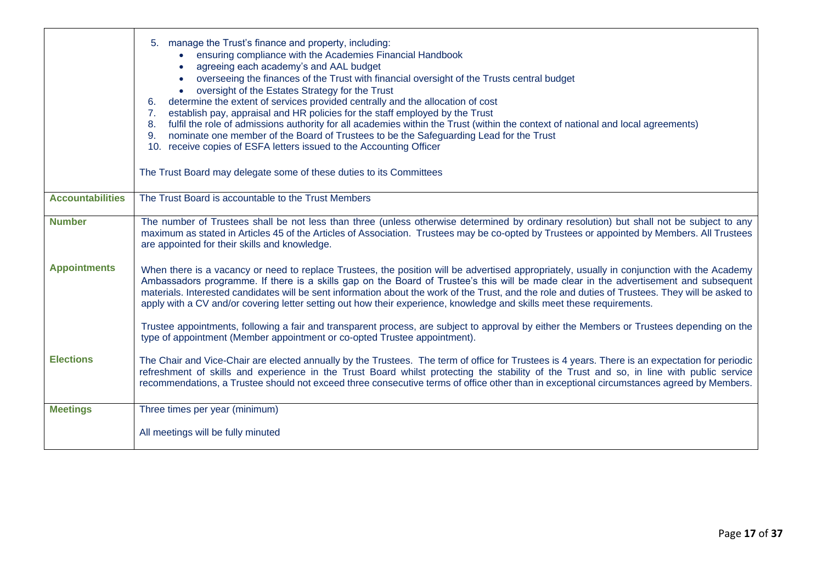|                         | 5. manage the Trust's finance and property, including:<br>• ensuring compliance with the Academies Financial Handbook<br>agreeing each academy's and AAL budget<br>overseeing the finances of the Trust with financial oversight of the Trusts central budget<br>oversight of the Estates Strategy for the Trust<br>determine the extent of services provided centrally and the allocation of cost<br>6.<br>establish pay, appraisal and HR policies for the staff employed by the Trust<br>7 <sub>1</sub><br>fulfil the role of admissions authority for all academies within the Trust (within the context of national and local agreements)<br>8.<br>9. nominate one member of the Board of Trustees to be the Safeguarding Lead for the Trust<br>10. receive copies of ESFA letters issued to the Accounting Officer<br>The Trust Board may delegate some of these duties to its Committees |
|-------------------------|-------------------------------------------------------------------------------------------------------------------------------------------------------------------------------------------------------------------------------------------------------------------------------------------------------------------------------------------------------------------------------------------------------------------------------------------------------------------------------------------------------------------------------------------------------------------------------------------------------------------------------------------------------------------------------------------------------------------------------------------------------------------------------------------------------------------------------------------------------------------------------------------------|
|                         |                                                                                                                                                                                                                                                                                                                                                                                                                                                                                                                                                                                                                                                                                                                                                                                                                                                                                                 |
| <b>Accountabilities</b> | The Trust Board is accountable to the Trust Members                                                                                                                                                                                                                                                                                                                                                                                                                                                                                                                                                                                                                                                                                                                                                                                                                                             |
| <b>Number</b>           | The number of Trustees shall be not less than three (unless otherwise determined by ordinary resolution) but shall not be subject to any<br>maximum as stated in Articles 45 of the Articles of Association. Trustees may be co-opted by Trustees or appointed by Members. All Trustees<br>are appointed for their skills and knowledge.                                                                                                                                                                                                                                                                                                                                                                                                                                                                                                                                                        |
| <b>Appointments</b>     | When there is a vacancy or need to replace Trustees, the position will be advertised appropriately, usually in conjunction with the Academy<br>Ambassadors programme. If there is a skills gap on the Board of Trustee's this will be made clear in the advertisement and subsequent<br>materials. Interested candidates will be sent information about the work of the Trust, and the role and duties of Trustees. They will be asked to<br>apply with a CV and/or covering letter setting out how their experience, knowledge and skills meet these requirements.                                                                                                                                                                                                                                                                                                                             |
|                         | Trustee appointments, following a fair and transparent process, are subject to approval by either the Members or Trustees depending on the<br>type of appointment (Member appointment or co-opted Trustee appointment).                                                                                                                                                                                                                                                                                                                                                                                                                                                                                                                                                                                                                                                                         |
| <b>Elections</b>        | The Chair and Vice-Chair are elected annually by the Trustees. The term of office for Trustees is 4 years. There is an expectation for periodic<br>refreshment of skills and experience in the Trust Board whilst protecting the stability of the Trust and so, in line with public service<br>recommendations, a Trustee should not exceed three consecutive terms of office other than in exceptional circumstances agreed by Members.                                                                                                                                                                                                                                                                                                                                                                                                                                                        |
| <b>Meetings</b>         | Three times per year (minimum)                                                                                                                                                                                                                                                                                                                                                                                                                                                                                                                                                                                                                                                                                                                                                                                                                                                                  |
|                         | All meetings will be fully minuted                                                                                                                                                                                                                                                                                                                                                                                                                                                                                                                                                                                                                                                                                                                                                                                                                                                              |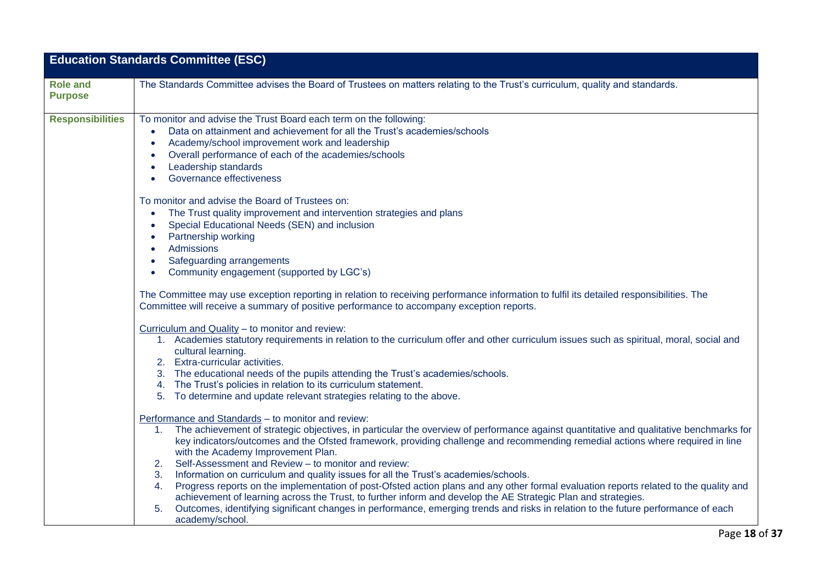| <b>Education Standards Committee (ESC)</b> |                                                                                                                                                                                                                                                                                                                                                                                                                                                                                                                                                                                                                                                                                                                                                                                                                                                                                                                                                                    |  |
|--------------------------------------------|--------------------------------------------------------------------------------------------------------------------------------------------------------------------------------------------------------------------------------------------------------------------------------------------------------------------------------------------------------------------------------------------------------------------------------------------------------------------------------------------------------------------------------------------------------------------------------------------------------------------------------------------------------------------------------------------------------------------------------------------------------------------------------------------------------------------------------------------------------------------------------------------------------------------------------------------------------------------|--|
| <b>Role and</b><br><b>Purpose</b>          | The Standards Committee advises the Board of Trustees on matters relating to the Trust's curriculum, quality and standards.                                                                                                                                                                                                                                                                                                                                                                                                                                                                                                                                                                                                                                                                                                                                                                                                                                        |  |
| <b>Responsibilities</b>                    | To monitor and advise the Trust Board each term on the following:<br>Data on attainment and achievement for all the Trust's academies/schools<br>Academy/school improvement work and leadership<br>$\bullet$<br>Overall performance of each of the academies/schools<br>Leadership standards<br>$\bullet$<br>Governance effectiveness                                                                                                                                                                                                                                                                                                                                                                                                                                                                                                                                                                                                                              |  |
|                                            | To monitor and advise the Board of Trustees on:<br>The Trust quality improvement and intervention strategies and plans<br>Special Educational Needs (SEN) and inclusion<br>$\bullet$<br>Partnership working<br>Admissions<br>$\bullet$<br>Safeguarding arrangements<br>Community engagement (supported by LGC's)                                                                                                                                                                                                                                                                                                                                                                                                                                                                                                                                                                                                                                                   |  |
|                                            | The Committee may use exception reporting in relation to receiving performance information to fulfil its detailed responsibilities. The<br>Committee will receive a summary of positive performance to accompany exception reports.                                                                                                                                                                                                                                                                                                                                                                                                                                                                                                                                                                                                                                                                                                                                |  |
|                                            | Curriculum and Quality - to monitor and review:<br>1. Academies statutory requirements in relation to the curriculum offer and other curriculum issues such as spiritual, moral, social and<br>cultural learning.<br>2. Extra-curricular activities.<br>3. The educational needs of the pupils attending the Trust's academies/schools.<br>4. The Trust's policies in relation to its curriculum statement.<br>5. To determine and update relevant strategies relating to the above.                                                                                                                                                                                                                                                                                                                                                                                                                                                                               |  |
|                                            | Performance and Standards - to monitor and review:<br>The achievement of strategic objectives, in particular the overview of performance against quantitative and qualitative benchmarks for<br>1.<br>key indicators/outcomes and the Ofsted framework, providing challenge and recommending remedial actions where required in line<br>with the Academy Improvement Plan.<br>Self-Assessment and Review - to monitor and review:<br>2.<br>3.<br>Information on curriculum and quality issues for all the Trust's academies/schools.<br>Progress reports on the implementation of post-Ofsted action plans and any other formal evaluation reports related to the quality and<br>4.<br>achievement of learning across the Trust, to further inform and develop the AE Strategic Plan and strategies.<br>Outcomes, identifying significant changes in performance, emerging trends and risks in relation to the future performance of each<br>5.<br>academy/school. |  |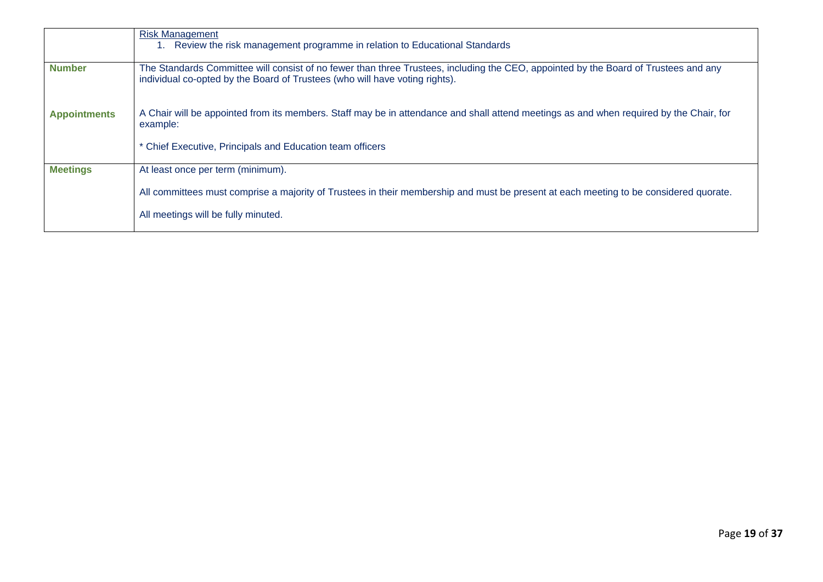|                     | <b>Risk Management</b><br>Review the risk management programme in relation to Educational Standards                                                                                                                |
|---------------------|--------------------------------------------------------------------------------------------------------------------------------------------------------------------------------------------------------------------|
| <b>Number</b>       | The Standards Committee will consist of no fewer than three Trustees, including the CEO, appointed by the Board of Trustees and any<br>individual co-opted by the Board of Trustees (who will have voting rights). |
| <b>Appointments</b> | A Chair will be appointed from its members. Staff may be in attendance and shall attend meetings as and when required by the Chair, for<br>example:                                                                |
|                     | * Chief Executive, Principals and Education team officers                                                                                                                                                          |
| <b>Meetings</b>     | At least once per term (minimum).                                                                                                                                                                                  |
|                     | All committees must comprise a majority of Trustees in their membership and must be present at each meeting to be considered quorate.                                                                              |
|                     | All meetings will be fully minuted.                                                                                                                                                                                |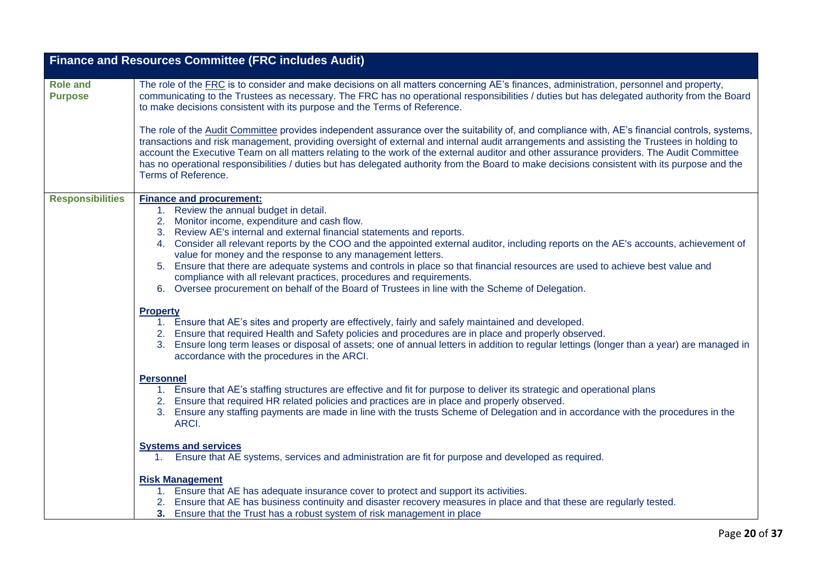|                                   | <b>Finance and Resources Committee (FRC includes Audit)</b>                                                                                                                                                                                                                                                                                                                                                                                                                                                                                                                                                                                                                                                                 |
|-----------------------------------|-----------------------------------------------------------------------------------------------------------------------------------------------------------------------------------------------------------------------------------------------------------------------------------------------------------------------------------------------------------------------------------------------------------------------------------------------------------------------------------------------------------------------------------------------------------------------------------------------------------------------------------------------------------------------------------------------------------------------------|
| <b>Role and</b><br><b>Purpose</b> | The role of the <b>FRC</b> is to consider and make decisions on all matters concerning AE's finances, administration, personnel and property,<br>communicating to the Trustees as necessary. The FRC has no operational responsibilities / duties but has delegated authority from the Board<br>to make decisions consistent with its purpose and the Terms of Reference.                                                                                                                                                                                                                                                                                                                                                   |
|                                   | The role of the Audit Committee provides independent assurance over the suitability of, and compliance with, AE's financial controls, systems,<br>transactions and risk management, providing oversight of external and internal audit arrangements and assisting the Trustees in holding to<br>account the Executive Team on all matters relating to the work of the external auditor and other assurance providers. The Audit Committee<br>has no operational responsibilities / duties but has delegated authority from the Board to make decisions consistent with its purpose and the<br>Terms of Reference.                                                                                                           |
| <b>Responsibilities</b>           | <b>Finance and procurement:</b><br>1. Review the annual budget in detail.<br>2. Monitor income, expenditure and cash flow.<br>3. Review AE's internal and external financial statements and reports.<br>4. Consider all relevant reports by the COO and the appointed external auditor, including reports on the AE's accounts, achievement of<br>value for money and the response to any management letters.<br>5. Ensure that there are adequate systems and controls in place so that financial resources are used to achieve best value and<br>compliance with all relevant practices, procedures and requirements.<br>6. Oversee procurement on behalf of the Board of Trustees in line with the Scheme of Delegation. |
|                                   | <b>Property</b><br>1. Ensure that AE's sites and property are effectively, fairly and safely maintained and developed.<br>2. Ensure that required Health and Safety policies and procedures are in place and properly observed.<br>Ensure long term leases or disposal of assets; one of annual letters in addition to regular lettings (longer than a year) are managed in<br>3.<br>accordance with the procedures in the ARCI.                                                                                                                                                                                                                                                                                            |
|                                   | <b>Personnel</b><br>1. Ensure that AE's staffing structures are effective and fit for purpose to deliver its strategic and operational plans<br>2. Ensure that required HR related policies and practices are in place and properly observed.<br>Ensure any staffing payments are made in line with the trusts Scheme of Delegation and in accordance with the procedures in the<br>3.<br>ARCI.                                                                                                                                                                                                                                                                                                                             |
|                                   | <b>Systems and services</b><br>1. Ensure that AE systems, services and administration are fit for purpose and developed as required.                                                                                                                                                                                                                                                                                                                                                                                                                                                                                                                                                                                        |
|                                   | <b>Risk Management</b><br>1. Ensure that AE has adequate insurance cover to protect and support its activities.<br>2. Ensure that AE has business continuity and disaster recovery measures in place and that these are regularly tested.<br>3. Ensure that the Trust has a robust system of risk management in place                                                                                                                                                                                                                                                                                                                                                                                                       |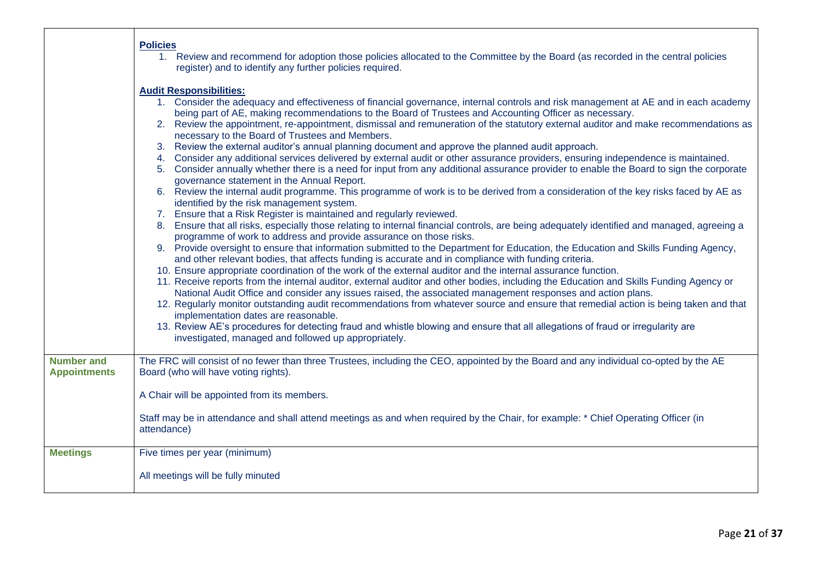|                                          | <b>Policies</b><br>1. Review and recommend for adoption those policies allocated to the Committee by the Board (as recorded in the central policies<br>register) and to identify any further policies required.                                                                                                                                                                                                                                                                                                                              |
|------------------------------------------|----------------------------------------------------------------------------------------------------------------------------------------------------------------------------------------------------------------------------------------------------------------------------------------------------------------------------------------------------------------------------------------------------------------------------------------------------------------------------------------------------------------------------------------------|
|                                          | <b>Audit Responsibilities:</b>                                                                                                                                                                                                                                                                                                                                                                                                                                                                                                               |
|                                          | 1. Consider the adequacy and effectiveness of financial governance, internal controls and risk management at AE and in each academy<br>being part of AE, making recommendations to the Board of Trustees and Accounting Officer as necessary.<br>2. Review the appointment, re-appointment, dismissal and remuneration of the statutory external auditor and make recommendations as<br>necessary to the Board of Trustees and Members.<br>3. Review the external auditor's annual planning document and approve the planned audit approach. |
|                                          | Consider any additional services delivered by external audit or other assurance providers, ensuring independence is maintained.<br>4.                                                                                                                                                                                                                                                                                                                                                                                                        |
|                                          | 5. Consider annually whether there is a need for input from any additional assurance provider to enable the Board to sign the corporate<br>governance statement in the Annual Report.                                                                                                                                                                                                                                                                                                                                                        |
|                                          | 6. Review the internal audit programme. This programme of work is to be derived from a consideration of the key risks faced by AE as<br>identified by the risk management system.                                                                                                                                                                                                                                                                                                                                                            |
|                                          | 7. Ensure that a Risk Register is maintained and regularly reviewed.                                                                                                                                                                                                                                                                                                                                                                                                                                                                         |
|                                          | 8. Ensure that all risks, especially those relating to internal financial controls, are being adequately identified and managed, agreeing a<br>programme of work to address and provide assurance on those risks.                                                                                                                                                                                                                                                                                                                            |
|                                          | 9. Provide oversight to ensure that information submitted to the Department for Education, the Education and Skills Funding Agency,<br>and other relevant bodies, that affects funding is accurate and in compliance with funding criteria.                                                                                                                                                                                                                                                                                                  |
|                                          | 10. Ensure appropriate coordination of the work of the external auditor and the internal assurance function.<br>11. Receive reports from the internal auditor, external auditor and other bodies, including the Education and Skills Funding Agency or<br>National Audit Office and consider any issues raised, the associated management responses and action plans.                                                                                                                                                                        |
|                                          | 12. Regularly monitor outstanding audit recommendations from whatever source and ensure that remedial action is being taken and that<br>implementation dates are reasonable.                                                                                                                                                                                                                                                                                                                                                                 |
|                                          | 13. Review AE's procedures for detecting fraud and whistle blowing and ensure that all allegations of fraud or irregularity are<br>investigated, managed and followed up appropriately.                                                                                                                                                                                                                                                                                                                                                      |
|                                          |                                                                                                                                                                                                                                                                                                                                                                                                                                                                                                                                              |
| <b>Number and</b><br><b>Appointments</b> | The FRC will consist of no fewer than three Trustees, including the CEO, appointed by the Board and any individual co-opted by the AE<br>Board (who will have voting rights).                                                                                                                                                                                                                                                                                                                                                                |
|                                          | A Chair will be appointed from its members.                                                                                                                                                                                                                                                                                                                                                                                                                                                                                                  |
|                                          | Staff may be in attendance and shall attend meetings as and when required by the Chair, for example: * Chief Operating Officer (in<br>attendance)                                                                                                                                                                                                                                                                                                                                                                                            |
| <b>Meetings</b>                          | Five times per year (minimum)                                                                                                                                                                                                                                                                                                                                                                                                                                                                                                                |
|                                          | All meetings will be fully minuted                                                                                                                                                                                                                                                                                                                                                                                                                                                                                                           |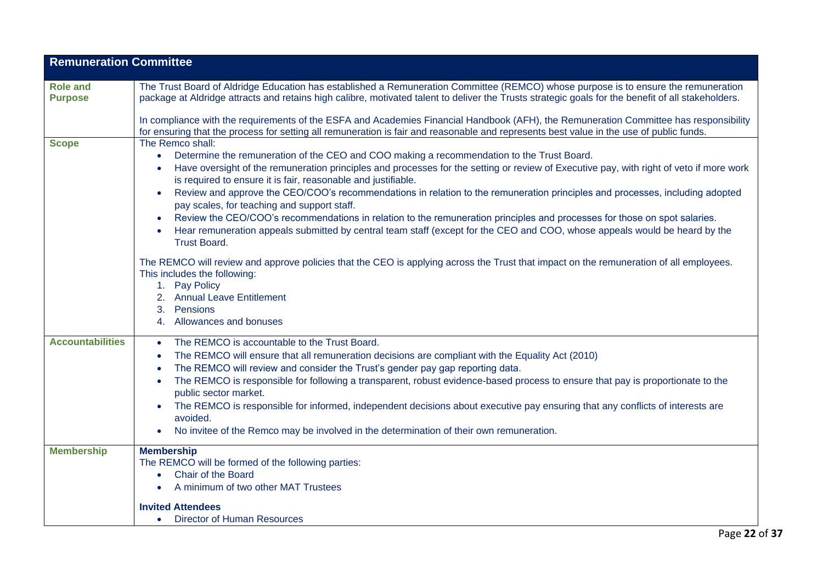| <b>Remuneration Committee</b>     |                                                                                                                                                                                                                                                                                                                                                                                                                                                                                                                                                                                                                                                                                                                                                                                                                                                                                                                                                                                                                                                     |
|-----------------------------------|-----------------------------------------------------------------------------------------------------------------------------------------------------------------------------------------------------------------------------------------------------------------------------------------------------------------------------------------------------------------------------------------------------------------------------------------------------------------------------------------------------------------------------------------------------------------------------------------------------------------------------------------------------------------------------------------------------------------------------------------------------------------------------------------------------------------------------------------------------------------------------------------------------------------------------------------------------------------------------------------------------------------------------------------------------|
| <b>Role and</b><br><b>Purpose</b> | The Trust Board of Aldridge Education has established a Remuneration Committee (REMCO) whose purpose is to ensure the remuneration<br>package at Aldridge attracts and retains high calibre, motivated talent to deliver the Trusts strategic goals for the benefit of all stakeholders.                                                                                                                                                                                                                                                                                                                                                                                                                                                                                                                                                                                                                                                                                                                                                            |
|                                   | In compliance with the requirements of the ESFA and Academies Financial Handbook (AFH), the Remuneration Committee has responsibility<br>for ensuring that the process for setting all remuneration is fair and reasonable and represents best value in the use of public funds.                                                                                                                                                                                                                                                                                                                                                                                                                                                                                                                                                                                                                                                                                                                                                                    |
| <b>Scope</b>                      | The Remco shall:<br>Determine the remuneration of the CEO and COO making a recommendation to the Trust Board.<br>$\bullet$<br>Have oversight of the remuneration principles and processes for the setting or review of Executive pay, with right of veto if more work<br>is required to ensure it is fair, reasonable and justifiable.<br>Review and approve the CEO/COO's recommendations in relation to the remuneration principles and processes, including adopted<br>pay scales, for teaching and support staff.<br>Review the CEO/COO's recommendations in relation to the remuneration principles and processes for those on spot salaries.<br>Hear remuneration appeals submitted by central team staff (except for the CEO and COO, whose appeals would be heard by the<br><b>Trust Board.</b><br>The REMCO will review and approve policies that the CEO is applying across the Trust that impact on the remuneration of all employees.<br>This includes the following:<br>1. Pay Policy<br>2. Annual Leave Entitlement<br>Pensions<br>3. |
|                                   | 4. Allowances and bonuses                                                                                                                                                                                                                                                                                                                                                                                                                                                                                                                                                                                                                                                                                                                                                                                                                                                                                                                                                                                                                           |
| <b>Accountabilities</b>           | The REMCO is accountable to the Trust Board.<br>$\bullet$<br>The REMCO will ensure that all remuneration decisions are compliant with the Equality Act (2010)<br>$\bullet$<br>The REMCO will review and consider the Trust's gender pay gap reporting data.<br>The REMCO is responsible for following a transparent, robust evidence-based process to ensure that pay is proportionate to the<br>public sector market.<br>The REMCO is responsible for informed, independent decisions about executive pay ensuring that any conflicts of interests are<br>avoided.<br>No invitee of the Remco may be involved in the determination of their own remuneration.                                                                                                                                                                                                                                                                                                                                                                                      |
| <b>Membership</b>                 | <b>Membership</b><br>The REMCO will be formed of the following parties:<br><b>Chair of the Board</b><br>$\bullet$<br>A minimum of two other MAT Trustees<br><b>Invited Attendees</b>                                                                                                                                                                                                                                                                                                                                                                                                                                                                                                                                                                                                                                                                                                                                                                                                                                                                |
|                                   | <b>Director of Human Resources</b><br>$\bullet$                                                                                                                                                                                                                                                                                                                                                                                                                                                                                                                                                                                                                                                                                                                                                                                                                                                                                                                                                                                                     |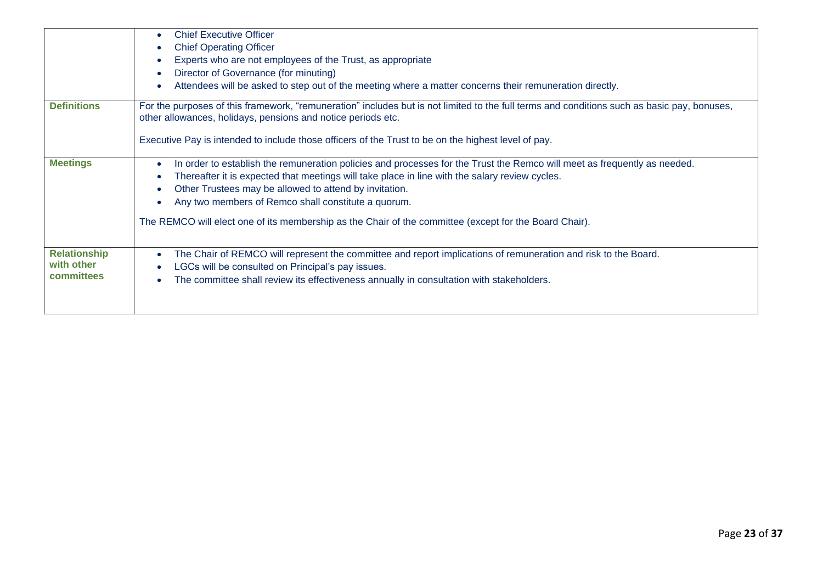|                     | <b>Chief Executive Officer</b><br><b>Chief Operating Officer</b>                                                                                                                                            |
|---------------------|-------------------------------------------------------------------------------------------------------------------------------------------------------------------------------------------------------------|
|                     | Experts who are not employees of the Trust, as appropriate                                                                                                                                                  |
|                     | Director of Governance (for minuting)                                                                                                                                                                       |
|                     | Attendees will be asked to step out of the meeting where a matter concerns their remuneration directly.                                                                                                     |
| <b>Definitions</b>  | For the purposes of this framework, "remuneration" includes but is not limited to the full terms and conditions such as basic pay, bonuses,<br>other allowances, holidays, pensions and notice periods etc. |
|                     | Executive Pay is intended to include those officers of the Trust to be on the highest level of pay.                                                                                                         |
| <b>Meetings</b>     | In order to establish the remuneration policies and processes for the Trust the Remco will meet as frequently as needed.                                                                                    |
|                     | Thereafter it is expected that meetings will take place in line with the salary review cycles.                                                                                                              |
|                     | Other Trustees may be allowed to attend by invitation.                                                                                                                                                      |
|                     | Any two members of Remco shall constitute a quorum.                                                                                                                                                         |
|                     | The REMCO will elect one of its membership as the Chair of the committee (except for the Board Chair).                                                                                                      |
| <b>Relationship</b> | The Chair of REMCO will represent the committee and report implications of remuneration and risk to the Board.                                                                                              |
| with other          | LGCs will be consulted on Principal's pay issues.                                                                                                                                                           |
| committees          | The committee shall review its effectiveness annually in consultation with stakeholders.                                                                                                                    |
|                     |                                                                                                                                                                                                             |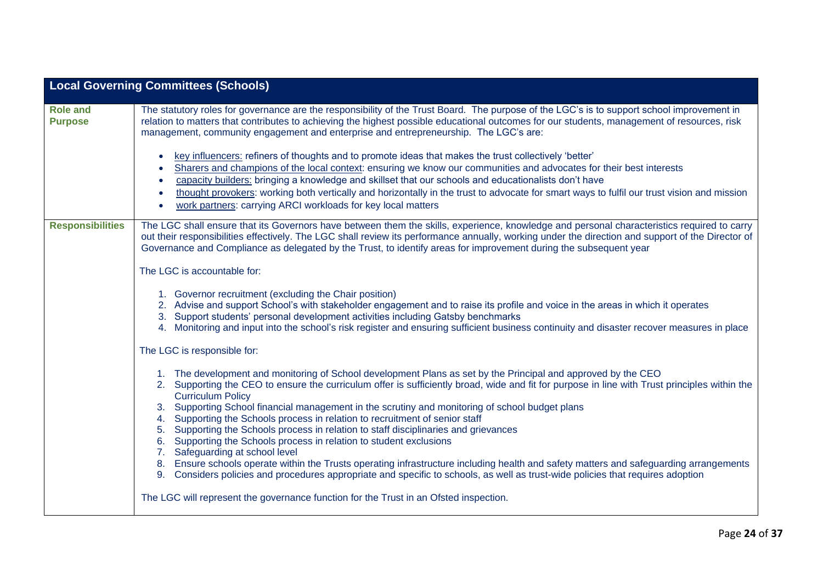|                                   | <b>Local Governing Committees (Schools)</b>                                                                                                                                                                                                                                                                                                                                                                                                                                                                                                                                                                                                                                                                                                                                                                                           |
|-----------------------------------|---------------------------------------------------------------------------------------------------------------------------------------------------------------------------------------------------------------------------------------------------------------------------------------------------------------------------------------------------------------------------------------------------------------------------------------------------------------------------------------------------------------------------------------------------------------------------------------------------------------------------------------------------------------------------------------------------------------------------------------------------------------------------------------------------------------------------------------|
| <b>Role and</b><br><b>Purpose</b> | The statutory roles for governance are the responsibility of the Trust Board. The purpose of the LGC's is to support school improvement in<br>relation to matters that contributes to achieving the highest possible educational outcomes for our students, management of resources, risk<br>management, community engagement and enterprise and entrepreneurship. The LGC's are:                                                                                                                                                                                                                                                                                                                                                                                                                                                     |
|                                   | key influencers: refiners of thoughts and to promote ideas that makes the trust collectively 'better'<br>$\bullet$<br>Sharers and champions of the local context: ensuring we know our communities and advocates for their best interests<br>capacity builders: bringing a knowledge and skillset that our schools and educationalists don't have<br>$\bullet$<br>thought provokers: working both vertically and horizontally in the trust to advocate for smart ways to fulfil our trust vision and mission<br>work partners: carrying ARCI workloads for key local matters<br>$\bullet$                                                                                                                                                                                                                                             |
| <b>Responsibilities</b>           | The LGC shall ensure that its Governors have between them the skills, experience, knowledge and personal characteristics required to carry<br>out their responsibilities effectively. The LGC shall review its performance annually, working under the direction and support of the Director of<br>Governance and Compliance as delegated by the Trust, to identify areas for improvement during the subsequent year                                                                                                                                                                                                                                                                                                                                                                                                                  |
|                                   | The LGC is accountable for:                                                                                                                                                                                                                                                                                                                                                                                                                                                                                                                                                                                                                                                                                                                                                                                                           |
|                                   | 1. Governor recruitment (excluding the Chair position)<br>Advise and support School's with stakeholder engagement and to raise its profile and voice in the areas in which it operates<br>2.<br>Support students' personal development activities including Gatsby benchmarks<br>3.<br>4. Monitoring and input into the school's risk register and ensuring sufficient business continuity and disaster recover measures in place                                                                                                                                                                                                                                                                                                                                                                                                     |
|                                   | The LGC is responsible for:                                                                                                                                                                                                                                                                                                                                                                                                                                                                                                                                                                                                                                                                                                                                                                                                           |
|                                   | 1. The development and monitoring of School development Plans as set by the Principal and approved by the CEO<br>2. Supporting the CEO to ensure the curriculum offer is sufficiently broad, wide and fit for purpose in line with Trust principles within the<br><b>Curriculum Policy</b><br>Supporting School financial management in the scrutiny and monitoring of school budget plans<br>Supporting the Schools process in relation to recruitment of senior staff<br>4.<br>Supporting the Schools process in relation to staff disciplinaries and grievances<br>5.<br>Supporting the Schools process in relation to student exclusions<br>6.<br>Safeguarding at school level<br>7.<br>Ensure schools operate within the Trusts operating infrastructure including health and safety matters and safeguarding arrangements<br>8. |
|                                   | 9. Considers policies and procedures appropriate and specific to schools, as well as trust-wide policies that requires adoption                                                                                                                                                                                                                                                                                                                                                                                                                                                                                                                                                                                                                                                                                                       |
|                                   | The LGC will represent the governance function for the Trust in an Ofsted inspection.                                                                                                                                                                                                                                                                                                                                                                                                                                                                                                                                                                                                                                                                                                                                                 |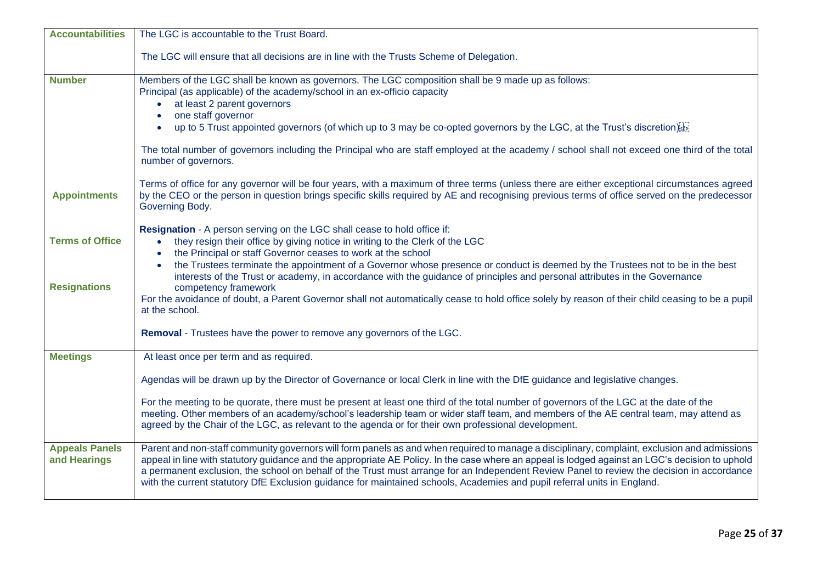| <b>Accountabilities</b>                       | The LGC is accountable to the Trust Board.                                                                                                                                                                                                                                                                                                                                                                                                                                                                                                                                                                                                                                                    |
|-----------------------------------------------|-----------------------------------------------------------------------------------------------------------------------------------------------------------------------------------------------------------------------------------------------------------------------------------------------------------------------------------------------------------------------------------------------------------------------------------------------------------------------------------------------------------------------------------------------------------------------------------------------------------------------------------------------------------------------------------------------|
|                                               | The LGC will ensure that all decisions are in line with the Trusts Scheme of Delegation.                                                                                                                                                                                                                                                                                                                                                                                                                                                                                                                                                                                                      |
| <b>Number</b>                                 | Members of the LGC shall be known as governors. The LGC composition shall be 9 made up as follows:<br>Principal (as applicable) of the academy/school in an ex-officio capacity<br>at least 2 parent governors<br>one staff governor<br>up to 5 Trust appointed governors (of which up to 3 may be co-opted governors by the LGC, at the Trust's discretion<br>The total number of governors including the Principal who are staff employed at the academy / school shall not exceed one third of the total                                                                                                                                                                                   |
|                                               | number of governors.                                                                                                                                                                                                                                                                                                                                                                                                                                                                                                                                                                                                                                                                          |
| <b>Appointments</b>                           | Terms of office for any governor will be four years, with a maximum of three terms (unless there are either exceptional circumstances agreed<br>by the CEO or the person in question brings specific skills required by AE and recognising previous terms of office served on the predecessor<br>Governing Body.                                                                                                                                                                                                                                                                                                                                                                              |
| <b>Terms of Office</b><br><b>Resignations</b> | <b>Resignation</b> - A person serving on the LGC shall cease to hold office if:<br>they resign their office by giving notice in writing to the Clerk of the LGC<br>the Principal or staff Governor ceases to work at the school<br>the Trustees terminate the appointment of a Governor whose presence or conduct is deemed by the Trustees not to be in the best<br>interests of the Trust or academy, in accordance with the guidance of principles and personal attributes in the Governance<br>competency framework<br>For the avoidance of doubt, a Parent Governor shall not automatically cease to hold office solely by reason of their child ceasing to be a pupil<br>at the school. |
|                                               | Removal - Trustees have the power to remove any governors of the LGC.                                                                                                                                                                                                                                                                                                                                                                                                                                                                                                                                                                                                                         |
| <b>Meetings</b>                               | At least once per term and as required.                                                                                                                                                                                                                                                                                                                                                                                                                                                                                                                                                                                                                                                       |
|                                               | Agendas will be drawn up by the Director of Governance or local Clerk in line with the DfE guidance and legislative changes.                                                                                                                                                                                                                                                                                                                                                                                                                                                                                                                                                                  |
|                                               | For the meeting to be quorate, there must be present at least one third of the total number of governors of the LGC at the date of the<br>meeting. Other members of an academy/school's leadership team or wider staff team, and members of the AE central team, may attend as<br>agreed by the Chair of the LGC, as relevant to the agenda or for their own professional development.                                                                                                                                                                                                                                                                                                        |
| <b>Appeals Panels</b><br>and Hearings         | Parent and non-staff community governors will form panels as and when required to manage a disciplinary, complaint, exclusion and admissions<br>appeal in line with statutory guidance and the appropriate AE Policy. In the case where an appeal is lodged against an LGC's decision to uphold<br>a permanent exclusion, the school on behalf of the Trust must arrange for an Independent Review Panel to review the decision in accordance<br>with the current statutory DfE Exclusion guidance for maintained schools, Academies and pupil referral units in England.                                                                                                                     |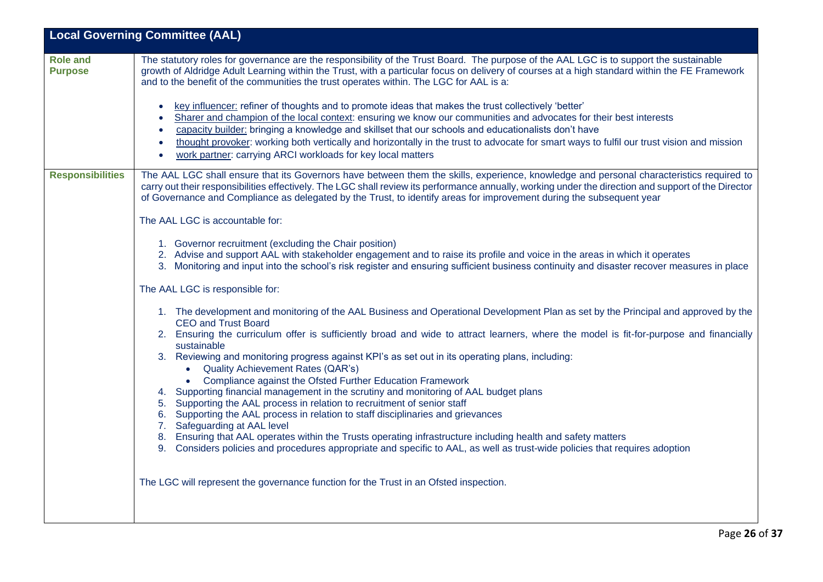| <b>Local Governing Committee (AAL)</b> |                                                                                                                                                                                                                                                                                                                                                                                                                                                                                                                                             |  |
|----------------------------------------|---------------------------------------------------------------------------------------------------------------------------------------------------------------------------------------------------------------------------------------------------------------------------------------------------------------------------------------------------------------------------------------------------------------------------------------------------------------------------------------------------------------------------------------------|--|
| <b>Role and</b><br><b>Purpose</b>      | The statutory roles for governance are the responsibility of the Trust Board. The purpose of the AAL LGC is to support the sustainable<br>growth of Aldridge Adult Learning within the Trust, with a particular focus on delivery of courses at a high standard within the FE Framework<br>and to the benefit of the communities the trust operates within. The LGC for AAL is a:                                                                                                                                                           |  |
|                                        | key influencer: refiner of thoughts and to promote ideas that makes the trust collectively 'better'<br>Sharer and champion of the local context: ensuring we know our communities and advocates for their best interests<br>capacity builder: bringing a knowledge and skillset that our schools and educationalists don't have<br>thought provoker: working both vertically and horizontally in the trust to advocate for smart ways to fulfil our trust vision and mission<br>work partner: carrying ARCI workloads for key local matters |  |
| <b>Responsibilities</b>                | The AAL LGC shall ensure that its Governors have between them the skills, experience, knowledge and personal characteristics required to<br>carry out their responsibilities effectively. The LGC shall review its performance annually, working under the direction and support of the Director<br>of Governance and Compliance as delegated by the Trust, to identify areas for improvement during the subsequent year                                                                                                                    |  |
|                                        | The AAL LGC is accountable for:                                                                                                                                                                                                                                                                                                                                                                                                                                                                                                             |  |
|                                        | 1. Governor recruitment (excluding the Chair position)<br>2. Advise and support AAL with stakeholder engagement and to raise its profile and voice in the areas in which it operates<br>3. Monitoring and input into the school's risk register and ensuring sufficient business continuity and disaster recover measures in place                                                                                                                                                                                                          |  |
|                                        | The AAL LGC is responsible for:                                                                                                                                                                                                                                                                                                                                                                                                                                                                                                             |  |
|                                        | 1. The development and monitoring of the AAL Business and Operational Development Plan as set by the Principal and approved by the<br><b>CEO and Trust Board</b><br>2. Ensuring the curriculum offer is sufficiently broad and wide to attract learners, where the model is fit-for-purpose and financially<br>sustainable                                                                                                                                                                                                                  |  |
|                                        | 3. Reviewing and monitoring progress against KPI's as set out in its operating plans, including:<br><b>Quality Achievement Rates (QAR's)</b><br>$\bullet$<br>Compliance against the Ofsted Further Education Framework                                                                                                                                                                                                                                                                                                                      |  |
|                                        | Supporting financial management in the scrutiny and monitoring of AAL budget plans<br>Supporting the AAL process in relation to recruitment of senior staff<br>5.<br>Supporting the AAL process in relation to staff disciplinaries and grievances<br>6.<br>Safeguarding at AAL level<br>7.                                                                                                                                                                                                                                                 |  |
|                                        | 8. Ensuring that AAL operates within the Trusts operating infrastructure including health and safety matters<br>9. Considers policies and procedures appropriate and specific to AAL, as well as trust-wide policies that requires adoption                                                                                                                                                                                                                                                                                                 |  |
|                                        | The LGC will represent the governance function for the Trust in an Ofsted inspection.                                                                                                                                                                                                                                                                                                                                                                                                                                                       |  |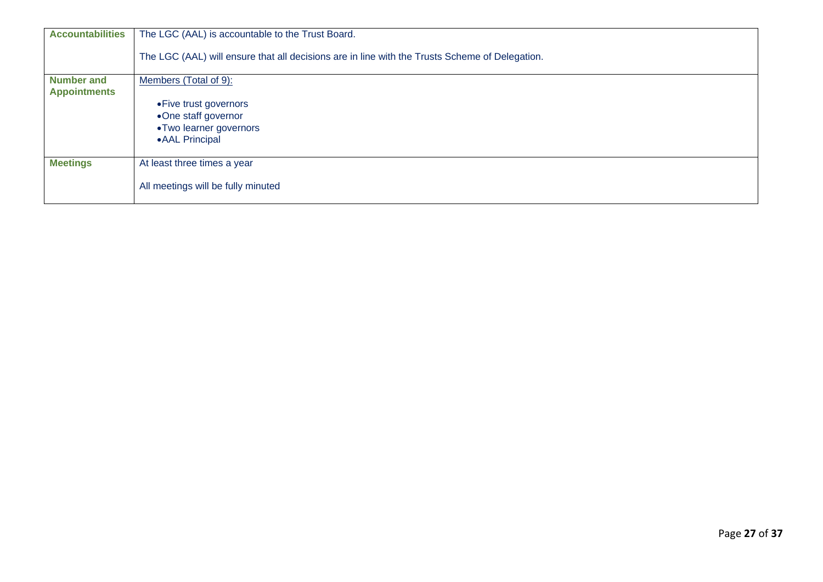| <b>Accountabilities</b>                  | The LGC (AAL) is accountable to the Trust Board.                                               |
|------------------------------------------|------------------------------------------------------------------------------------------------|
|                                          | The LGC (AAL) will ensure that all decisions are in line with the Trusts Scheme of Delegation. |
| <b>Number and</b><br><b>Appointments</b> | Members (Total of 9):                                                                          |
|                                          | • Five trust governors                                                                         |
|                                          | •One staff governor                                                                            |
|                                          | •Two learner governors                                                                         |
|                                          | • AAL Principal                                                                                |
|                                          |                                                                                                |
| <b>Meetings</b>                          | At least three times a year                                                                    |
|                                          |                                                                                                |
|                                          | All meetings will be fully minuted                                                             |
|                                          |                                                                                                |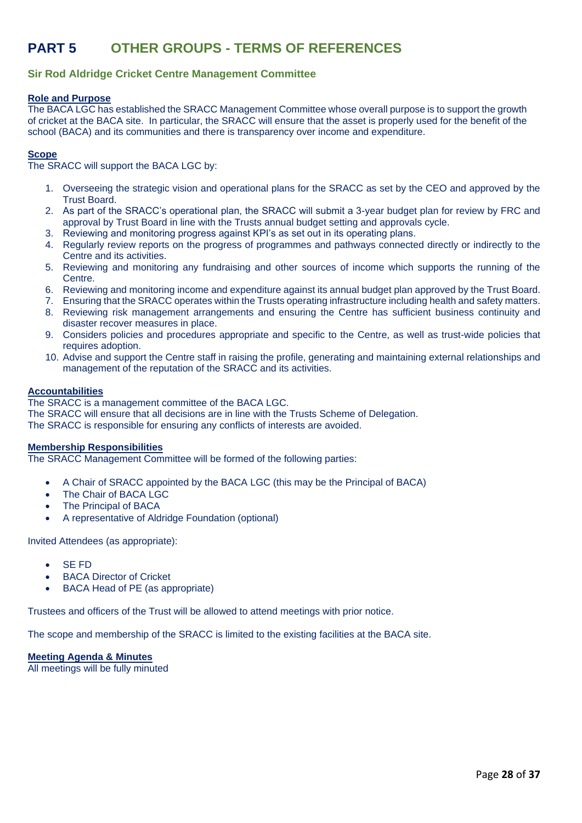## **PART 5 OTHER GROUPS - TERMS OF REFERENCES**

### **Sir Rod Aldridge Cricket Centre Management Committee**

#### **Role and Purpose**

The BACA LGC has established the SRACC Management Committee whose overall purpose is to support the growth of cricket at the BACA site. In particular, the SRACC will ensure that the asset is properly used for the benefit of the school (BACA) and its communities and there is transparency over income and expenditure.

#### **Scope**

The SRACC will support the BACA LGC by:

- 1. Overseeing the strategic vision and operational plans for the SRACC as set by the CEO and approved by the Trust Board.
- 2. As part of the SRACC's operational plan, the SRACC will submit a 3-year budget plan for review by FRC and approval by Trust Board in line with the Trusts annual budget setting and approvals cycle.
- 3. Reviewing and monitoring progress against KPI's as set out in its operating plans.
- 4. Regularly review reports on the progress of programmes and pathways connected directly or indirectly to the Centre and its activities.
- 5. Reviewing and monitoring any fundraising and other sources of income which supports the running of the Centre.
- 6. Reviewing and monitoring income and expenditure against its annual budget plan approved by the Trust Board.
- 7. Ensuring that the SRACC operates within the Trusts operating infrastructure including health and safety matters.
- 8. Reviewing risk management arrangements and ensuring the Centre has sufficient business continuity and disaster recover measures in place.
- 9. Considers policies and procedures appropriate and specific to the Centre, as well as trust-wide policies that requires adoption.
- 10. Advise and support the Centre staff in raising the profile, generating and maintaining external relationships and management of the reputation of the SRACC and its activities.

#### **Accountabilities**

The SRACC is a management committee of the BACA LGC.

The SRACC will ensure that all decisions are in line with the Trusts Scheme of Delegation. The SRACC is responsible for ensuring any conflicts of interests are avoided.

#### **Membership Responsibilities**

The SRACC Management Committee will be formed of the following parties:

- A Chair of SRACC appointed by the BACA LGC (this may be the Principal of BACA)
- The Chair of BACA LGC
- The Principal of BACA
- A representative of Aldridge Foundation (optional)

Invited Attendees (as appropriate):

- SE FD
- **BACA Director of Cricket**
- BACA Head of PE (as appropriate)

Trustees and officers of the Trust will be allowed to attend meetings with prior notice.

The scope and membership of the SRACC is limited to the existing facilities at the BACA site.

**Meeting Agenda & Minutes**

All meetings will be fully minuted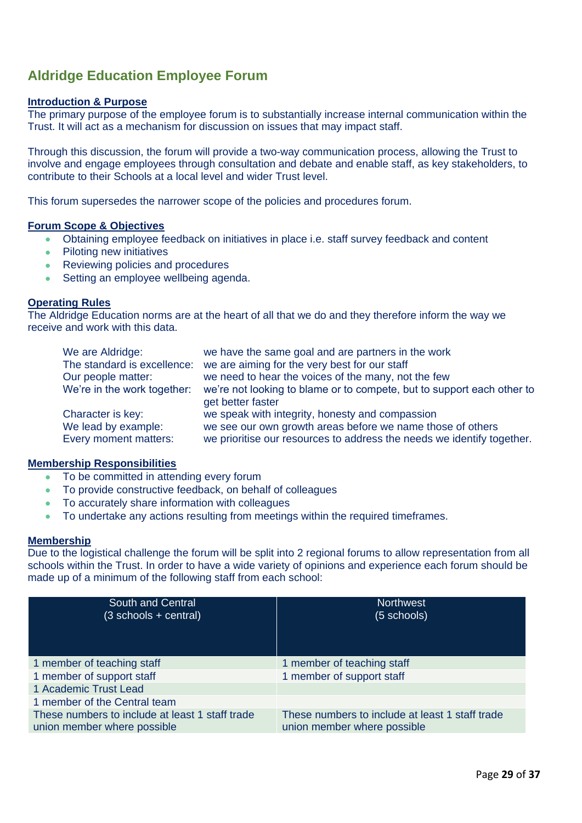### **Aldridge Education Employee Forum**

### **Introduction & Purpose**

The primary purpose of the employee forum is to substantially increase internal communication within the Trust. It will act as a mechanism for discussion on issues that may impact staff.

Through this discussion, the forum will provide a two-way communication process, allowing the Trust to involve and engage employees through consultation and debate and enable staff, as key stakeholders, to contribute to their Schools at a local level and wider Trust level.

This forum supersedes the narrower scope of the policies and procedures forum.

### **Forum Scope & Objectives**

- Obtaining employee feedback on initiatives in place i.e. staff survey feedback and content
- Piloting new initiatives
- Reviewing policies and procedures
- Setting an employee wellbeing agenda.

### **Operating Rules**

The Aldridge Education norms are at the heart of all that we do and they therefore inform the way we receive and work with this data.

| We are Aldridge:                             | we have the same goal and are partners in the work                                                                                   |
|----------------------------------------------|--------------------------------------------------------------------------------------------------------------------------------------|
| The standard is excellence:                  | we are aiming for the very best for our staff                                                                                        |
| Our people matter:                           | we need to hear the voices of the many, not the few                                                                                  |
| We're in the work together:                  | we're not looking to blame or to compete, but to support each other to<br>get better faster                                          |
| Character is key:                            | we speak with integrity, honesty and compassion                                                                                      |
| We lead by example:<br>Every moment matters: | we see our own growth areas before we name those of others<br>we prioritise our resources to address the needs we identify together. |

### **Membership Responsibilities**

- To be committed in attending every forum
- To provide constructive feedback, on behalf of colleagues
- To accurately share information with colleagues
- To undertake any actions resulting from meetings within the required timeframes.

#### **Membership**

Due to the logistical challenge the forum will be split into 2 regional forums to allow representation from all schools within the Trust. In order to have a wide variety of opinions and experience each forum should be made up of a minimum of the following staff from each school:

| South and Central<br>$(3 \text{ schools} + \text{central})$                    | <b>Northwest</b><br>(5 schools)                                                |
|--------------------------------------------------------------------------------|--------------------------------------------------------------------------------|
| 1 member of teaching staff                                                     | 1 member of teaching staff                                                     |
| 1 member of support staff                                                      | 1 member of support staff                                                      |
| 1 Academic Trust Lead                                                          |                                                                                |
| 1 member of the Central team                                                   |                                                                                |
| These numbers to include at least 1 staff trade<br>union member where possible | These numbers to include at least 1 staff trade<br>union member where possible |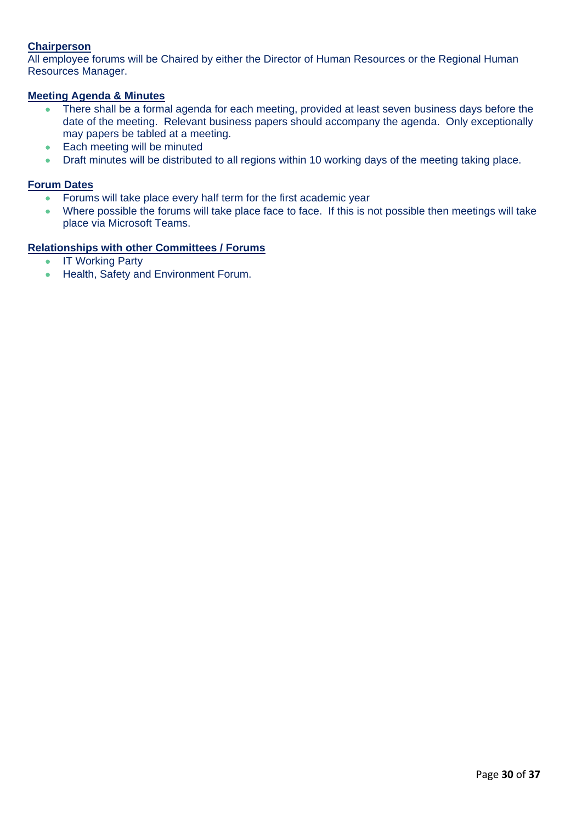### **Chairperson**

All employee forums will be Chaired by either the Director of Human Resources or the Regional Human Resources Manager.

### **Meeting Agenda & Minutes**

- There shall be a formal agenda for each meeting, provided at least seven business days before the date of the meeting. Relevant business papers should accompany the agenda. Only exceptionally may papers be tabled at a meeting.
- Each meeting will be minuted
- Draft minutes will be distributed to all regions within 10 working days of the meeting taking place.

### **Forum Dates**

- Forums will take place every half term for the first academic year
- Where possible the forums will take place face to face. If this is not possible then meetings will take place via Microsoft Teams.

### **Relationships with other Committees / Forums**

- IT Working Party
- Health, Safety and Environment Forum.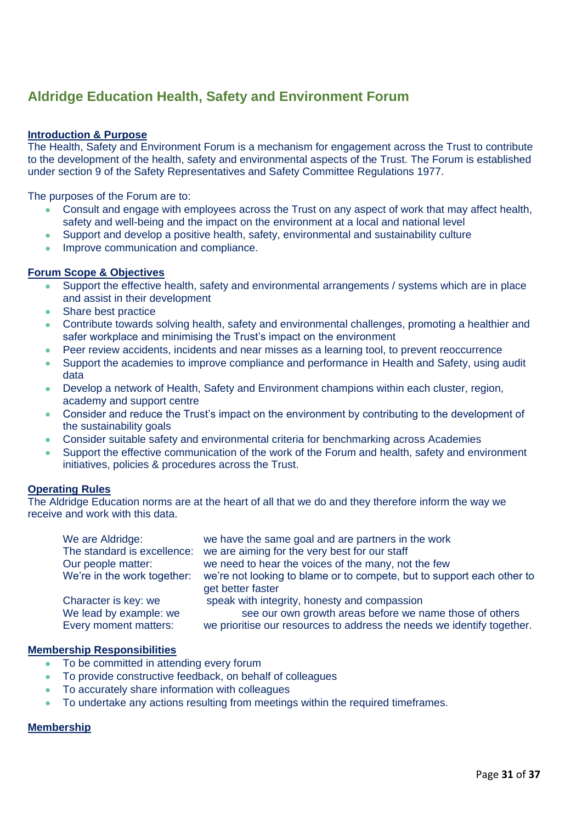## **Aldridge Education Health, Safety and Environment Forum**

### **Introduction & Purpose**

The Health, Safety and Environment Forum is a mechanism for engagement across the Trust to contribute to the development of the health, safety and environmental aspects of the Trust. The Forum is established under section 9 of the Safety Representatives and Safety Committee Regulations 1977.

The purposes of the Forum are to:

- Consult and engage with employees across the Trust on any aspect of work that may affect health, safety and well-being and the impact on the environment at a local and national level
- Support and develop a positive health, safety, environmental and sustainability culture
- Improve communication and compliance.

### **Forum Scope & Objectives**

- Support the effective health, safety and environmental arrangements / systems which are in place and assist in their development
- Share best practice
- Contribute towards solving health, safety and environmental challenges, promoting a healthier and safer workplace and minimising the Trust's impact on the environment
- Peer review accidents, incidents and near misses as a learning tool, to prevent reoccurrence
- Support the academies to improve compliance and performance in Health and Safety, using audit data
- Develop a network of Health, Safety and Environment champions within each cluster, region, academy and support centre
- Consider and reduce the Trust's impact on the environment by contributing to the development of the sustainability goals
- Consider suitable safety and environmental criteria for benchmarking across Academies
- Support the effective communication of the work of the Forum and health, safety and environment initiatives, policies & procedures across the Trust.

### **Operating Rules**

The Aldridge Education norms are at the heart of all that we do and they therefore inform the way we receive and work with this data.

| We are Aldridge:            | we have the same goal and are partners in the work                                          |
|-----------------------------|---------------------------------------------------------------------------------------------|
| The standard is excellence: | we are aiming for the very best for our staff                                               |
| Our people matter:          | we need to hear the voices of the many, not the few                                         |
| We're in the work together: | we're not looking to blame or to compete, but to support each other to<br>get better faster |
| Character is key: we        | speak with integrity, honesty and compassion                                                |
| We lead by example: we      | see our own growth areas before we name those of others                                     |
| Every moment matters:       | we prioritise our resources to address the needs we identify together.                      |

### **Membership Responsibilities**

- To be committed in attending every forum
- To provide constructive feedback, on behalf of colleagues
- To accurately share information with colleagues
- To undertake any actions resulting from meetings within the required timeframes.

### **Membership**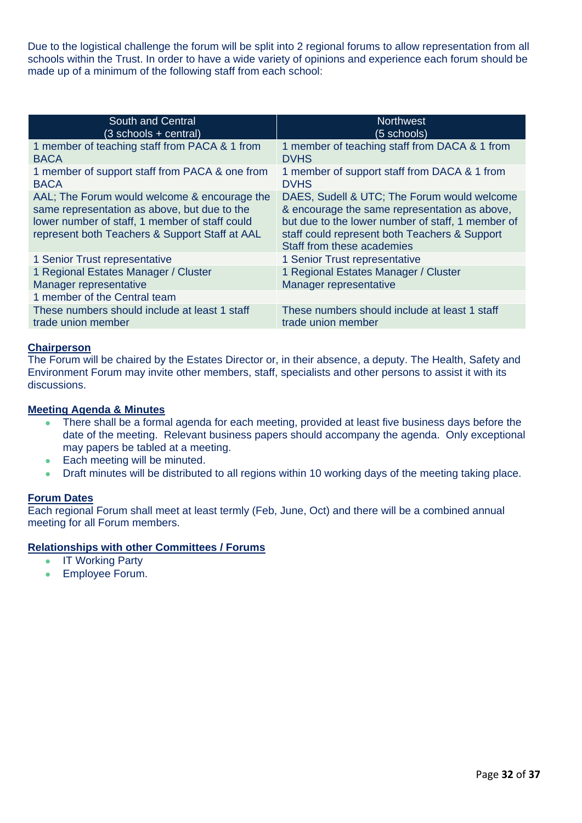Due to the logistical challenge the forum will be split into 2 regional forums to allow representation from all schools within the Trust. In order to have a wide variety of opinions and experience each forum should be made up of a minimum of the following staff from each school:

| South and Central                                                                                                                                                                                | <b>Northwest</b>                                                                                                                                                                                                                 |
|--------------------------------------------------------------------------------------------------------------------------------------------------------------------------------------------------|----------------------------------------------------------------------------------------------------------------------------------------------------------------------------------------------------------------------------------|
| (3 schools + central)                                                                                                                                                                            | (5 schools)                                                                                                                                                                                                                      |
| 1 member of teaching staff from PACA & 1 from<br><b>BACA</b>                                                                                                                                     | 1 member of teaching staff from DACA & 1 from<br><b>DVHS</b>                                                                                                                                                                     |
| 1 member of support staff from PACA & one from<br><b>BACA</b>                                                                                                                                    | 1 member of support staff from DACA & 1 from<br><b>DVHS</b>                                                                                                                                                                      |
| AAL; The Forum would welcome & encourage the<br>same representation as above, but due to the<br>lower number of staff, 1 member of staff could<br>represent both Teachers & Support Staff at AAL | DAES, Sudell & UTC; The Forum would welcome<br>& encourage the same representation as above,<br>but due to the lower number of staff, 1 member of<br>staff could represent both Teachers & Support<br>Staff from these academies |
| 1 Senior Trust representative                                                                                                                                                                    | 1 Senior Trust representative                                                                                                                                                                                                    |
| 1 Regional Estates Manager / Cluster<br>Manager representative                                                                                                                                   | 1 Regional Estates Manager / Cluster<br>Manager representative                                                                                                                                                                   |
| 1 member of the Central team                                                                                                                                                                     |                                                                                                                                                                                                                                  |
| These numbers should include at least 1 staff<br>trade union member                                                                                                                              | These numbers should include at least 1 staff<br>trade union member                                                                                                                                                              |

### **Chairperson**

The Forum will be chaired by the Estates Director or, in their absence, a deputy. The Health, Safety and Environment Forum may invite other members, staff, specialists and other persons to assist it with its discussions.

### **Meeting Agenda & Minutes**

- There shall be a formal agenda for each meeting, provided at least five business days before the date of the meeting. Relevant business papers should accompany the agenda. Only exceptional may papers be tabled at a meeting.
- Each meeting will be minuted.
- Draft minutes will be distributed to all regions within 10 working days of the meeting taking place.

### **Forum Dates**

Each regional Forum shall meet at least termly (Feb, June, Oct) and there will be a combined annual meeting for all Forum members.

### **Relationships with other Committees / Forums**

- IT Working Party
- Employee Forum.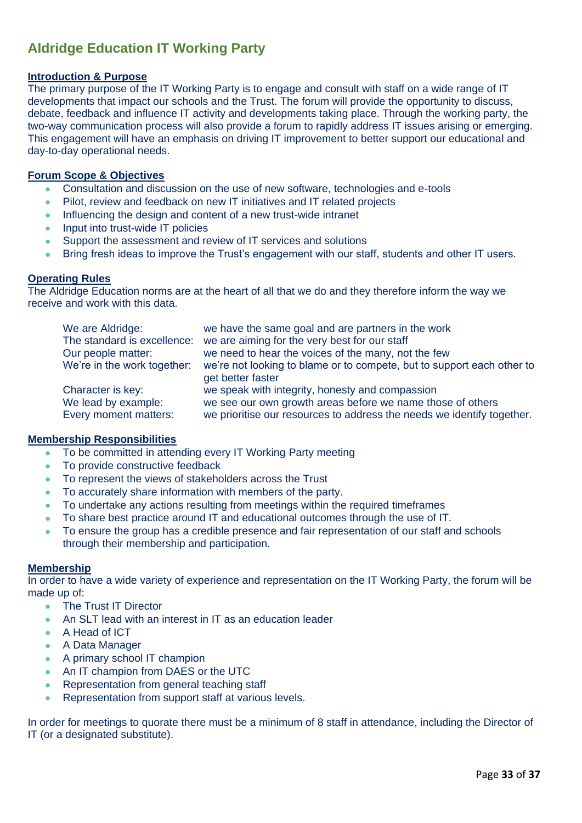## **Aldridge Education IT Working Party**

### **Introduction & Purpose**

The primary purpose of the IT Working Party is to engage and consult with staff on a wide range of IT developments that impact our schools and the Trust. The forum will provide the opportunity to discuss, debate, feedback and influence IT activity and developments taking place. Through the working party, the two-way communication process will also provide a forum to rapidly address IT issues arising or emerging. This engagement will have an emphasis on driving IT improvement to better support our educational and day-to-day operational needs.

### **Forum Scope & Objectives**

- Consultation and discussion on the use of new software, technologies and e-tools
- Pilot, review and feedback on new IT initiatives and IT related projects
- Influencing the design and content of a new trust-wide intranet
- Input into trust-wide IT policies
- Support the assessment and review of IT services and solutions
- Bring fresh ideas to improve the Trust's engagement with our staff, students and other IT users.

### **Operating Rules**

The Aldridge Education norms are at the heart of all that we do and they therefore inform the way we receive and work with this data.

| We are Aldridge:            | we have the same goal and are partners in the work                     |
|-----------------------------|------------------------------------------------------------------------|
| The standard is excellence: | we are aiming for the very best for our staff                          |
| Our people matter:          | we need to hear the voices of the many, not the few                    |
| We're in the work together: | we're not looking to blame or to compete, but to support each other to |
|                             | get better faster                                                      |
| Character is key:           | we speak with integrity, honesty and compassion                        |
| We lead by example:         | we see our own growth areas before we name those of others             |
| Every moment matters:       | we prioritise our resources to address the needs we identify together. |

### **Membership Responsibilities**

- To be committed in attending every IT Working Party meeting
- To provide constructive feedback
- To represent the views of stakeholders across the Trust
- To accurately share information with members of the party.
- To undertake any actions resulting from meetings within the required timeframes
- To share best practice around IT and educational outcomes through the use of IT.
- To ensure the group has a credible presence and fair representation of our staff and schools through their membership and participation.

### **Membership**

In order to have a wide variety of experience and representation on the IT Working Party, the forum will be made up of:

- The Trust IT Director
- An SLT lead with an interest in IT as an education leader
- A Head of ICT
- A Data Manager
- A primary school IT champion
- An IT champion from DAES or the UTC
- Representation from general teaching staff
- Representation from support staff at various levels.

In order for meetings to quorate there must be a minimum of 8 staff in attendance, including the Director of IT (or a designated substitute).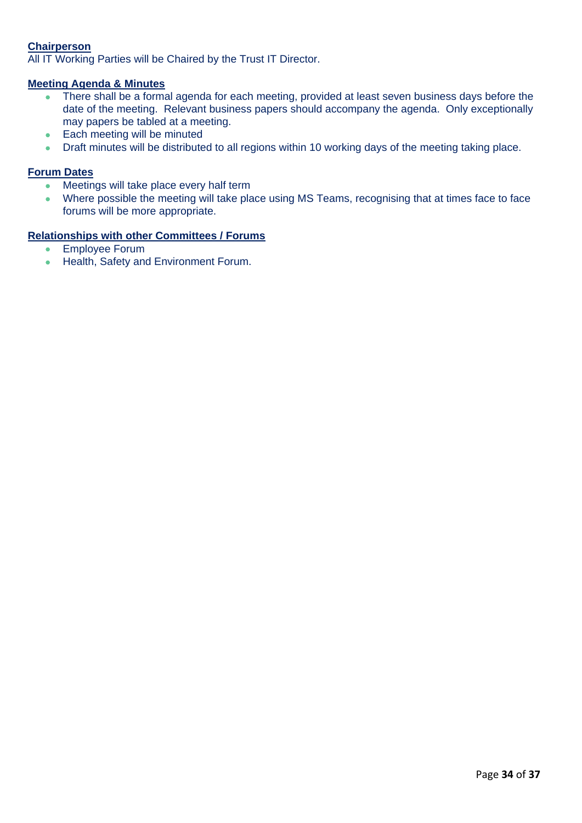### **Chairperson**

All IT Working Parties will be Chaired by the Trust IT Director.

### **Meeting Agenda & Minutes**

- There shall be a formal agenda for each meeting, provided at least seven business days before the date of the meeting. Relevant business papers should accompany the agenda. Only exceptionally may papers be tabled at a meeting.
- Each meeting will be minuted
- Draft minutes will be distributed to all regions within 10 working days of the meeting taking place.

### **Forum Dates**

- Meetings will take place every half term
- Where possible the meeting will take place using MS Teams, recognising that at times face to face forums will be more appropriate.

### **Relationships with other Committees / Forums**

- Employee Forum
- Health, Safety and Environment Forum.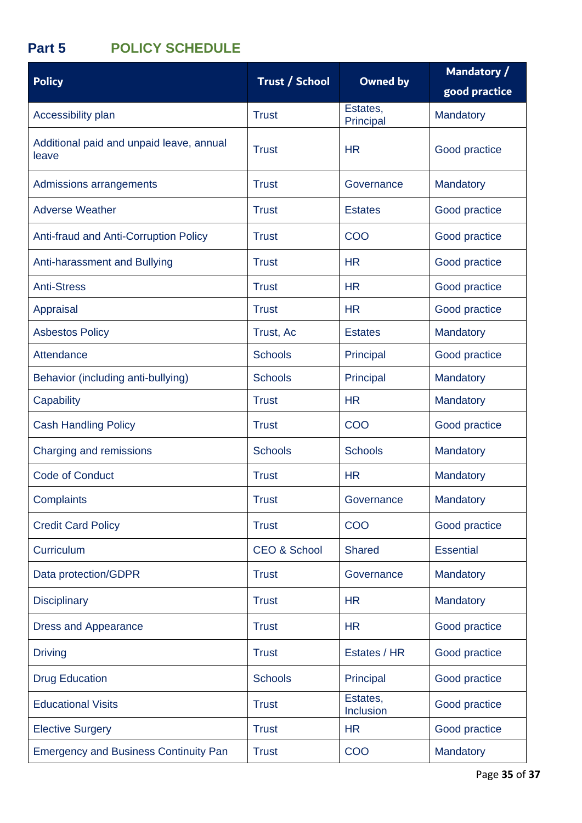## **Part 5 POLICY SCHEDULE**

| <b>Policy</b>                                     | <b>Trust / School</b>   | <b>Owned by</b>       | Mandatory /<br>good practice |
|---------------------------------------------------|-------------------------|-----------------------|------------------------------|
| Accessibility plan                                | <b>Trust</b>            | Estates,<br>Principal | Mandatory                    |
| Additional paid and unpaid leave, annual<br>leave | <b>Trust</b>            | <b>HR</b>             | Good practice                |
| Admissions arrangements                           | <b>Trust</b>            | Governance            | Mandatory                    |
| <b>Adverse Weather</b>                            | <b>Trust</b>            | <b>Estates</b>        | Good practice                |
| Anti-fraud and Anti-Corruption Policy             | <b>Trust</b>            | COO                   | Good practice                |
| Anti-harassment and Bullying                      | <b>Trust</b>            | <b>HR</b>             | Good practice                |
| <b>Anti-Stress</b>                                | <b>Trust</b>            | <b>HR</b>             | Good practice                |
| Appraisal                                         | <b>Trust</b>            | <b>HR</b>             | Good practice                |
| <b>Asbestos Policy</b>                            | Trust, Ac               | <b>Estates</b>        | Mandatory                    |
| Attendance                                        | <b>Schools</b>          | Principal             | Good practice                |
| Behavior (including anti-bullying)                | <b>Schools</b>          | Principal             | Mandatory                    |
| Capability                                        | <b>Trust</b>            | <b>HR</b>             | Mandatory                    |
| <b>Cash Handling Policy</b>                       | <b>Trust</b>            | COO                   | Good practice                |
| Charging and remissions                           | <b>Schools</b>          | <b>Schools</b>        | Mandatory                    |
| <b>Code of Conduct</b>                            | <b>Trust</b>            | <b>HR</b>             | Mandatory                    |
| Complaints                                        | <b>Trust</b>            | Governance            | <b>Mandatory</b>             |
| <b>Credit Card Policy</b>                         | <b>Trust</b>            | COO                   | Good practice                |
| Curriculum                                        | <b>CEO &amp; School</b> | <b>Shared</b>         | <b>Essential</b>             |
| Data protection/GDPR                              | <b>Trust</b>            | Governance            | Mandatory                    |
| <b>Disciplinary</b>                               | <b>Trust</b>            | <b>HR</b>             | Mandatory                    |
| <b>Dress and Appearance</b>                       | <b>Trust</b>            | <b>HR</b>             | Good practice                |
| <b>Driving</b>                                    | <b>Trust</b>            | Estates / HR          | Good practice                |
| <b>Drug Education</b>                             | <b>Schools</b>          | Principal             | Good practice                |
| <b>Educational Visits</b>                         | <b>Trust</b>            | Estates,<br>Inclusion | Good practice                |
| <b>Elective Surgery</b>                           | <b>Trust</b>            | <b>HR</b>             | Good practice                |
| <b>Emergency and Business Continuity Pan</b>      | <b>Trust</b>            | COO                   | Mandatory                    |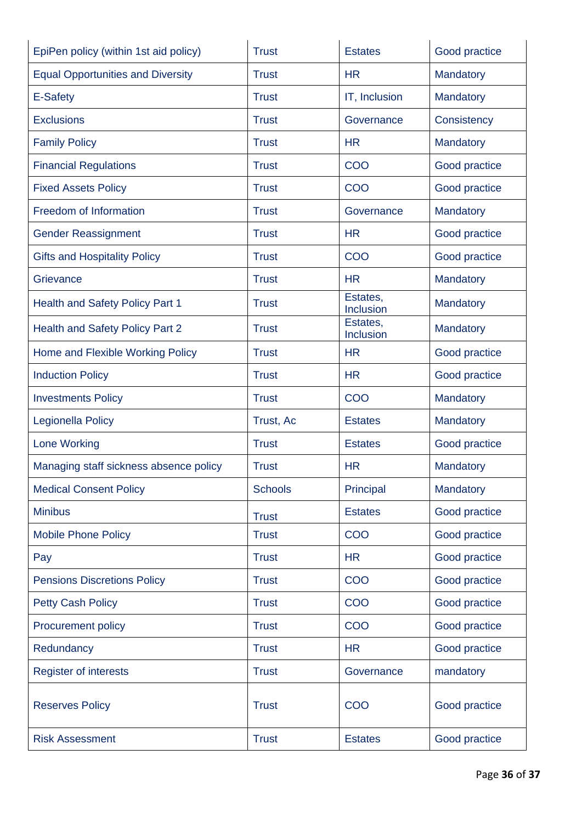| EpiPen policy (within 1st aid policy)    | <b>Trust</b>   | <b>Estates</b>        | Good practice |
|------------------------------------------|----------------|-----------------------|---------------|
| <b>Equal Opportunities and Diversity</b> | <b>Trust</b>   | <b>HR</b>             | Mandatory     |
| E-Safety                                 | <b>Trust</b>   | IT, Inclusion         | Mandatory     |
| <b>Exclusions</b>                        | <b>Trust</b>   | Governance            | Consistency   |
| <b>Family Policy</b>                     | <b>Trust</b>   | <b>HR</b>             | Mandatory     |
| <b>Financial Regulations</b>             | <b>Trust</b>   | COO                   | Good practice |
| <b>Fixed Assets Policy</b>               | <b>Trust</b>   | COO                   | Good practice |
| Freedom of Information                   | <b>Trust</b>   | Governance            | Mandatory     |
| <b>Gender Reassignment</b>               | <b>Trust</b>   | <b>HR</b>             | Good practice |
| <b>Gifts and Hospitality Policy</b>      | <b>Trust</b>   | COO                   | Good practice |
| Grievance                                | <b>Trust</b>   | <b>HR</b>             | Mandatory     |
| <b>Health and Safety Policy Part 1</b>   | <b>Trust</b>   | Estates,<br>Inclusion | Mandatory     |
| Health and Safety Policy Part 2          | <b>Trust</b>   | Estates,<br>Inclusion | Mandatory     |
| Home and Flexible Working Policy         | <b>Trust</b>   | <b>HR</b>             | Good practice |
| <b>Induction Policy</b>                  | <b>Trust</b>   | <b>HR</b>             | Good practice |
| <b>Investments Policy</b>                | <b>Trust</b>   | COO                   | Mandatory     |
| Legionella Policy                        | Trust, Ac      | <b>Estates</b>        | Mandatory     |
| <b>Lone Working</b>                      | <b>Trust</b>   | <b>Estates</b>        | Good practice |
| Managing staff sickness absence policy   | <b>Trust</b>   | <b>HR</b>             | Mandatory     |
| <b>Medical Consent Policy</b>            | <b>Schools</b> | Principal             | Mandatory     |
| <b>Minibus</b>                           | <b>Trust</b>   | <b>Estates</b>        | Good practice |
| <b>Mobile Phone Policy</b>               | <b>Trust</b>   | COO                   | Good practice |
| Pay                                      | <b>Trust</b>   | <b>HR</b>             | Good practice |
| <b>Pensions Discretions Policy</b>       | <b>Trust</b>   | COO                   | Good practice |
| <b>Petty Cash Policy</b>                 | <b>Trust</b>   | COO                   | Good practice |
| <b>Procurement policy</b>                | <b>Trust</b>   | COO                   | Good practice |
| Redundancy                               | <b>Trust</b>   | <b>HR</b>             | Good practice |
| <b>Register of interests</b>             | <b>Trust</b>   | Governance            | mandatory     |
| <b>Reserves Policy</b>                   | <b>Trust</b>   | COO                   | Good practice |
| <b>Risk Assessment</b>                   | <b>Trust</b>   | <b>Estates</b>        | Good practice |